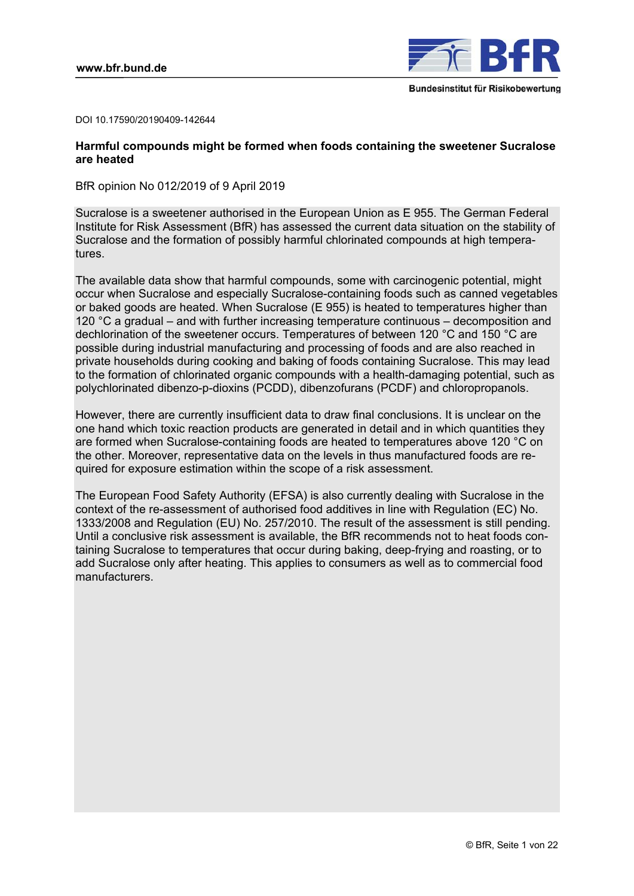

DOI 10.17590/20190409-142644

## **Harmful compounds might be formed when foods containing the sweetener Sucralose are heated**

BfR opinion No 012/2019 of 9 April 2019

Sucralose is a sweetener authorised in the European Union as E 955. The German Federal Institute for Risk Assessment (BfR) has assessed the current data situation on the stability of Sucralose and the formation of possibly harmful chlorinated compounds at high temperatures.

The available data show that harmful compounds, some with carcinogenic potential, might occur when Sucralose and especially Sucralose-containing foods such as canned vegetables or baked goods are heated. When Sucralose (E 955) is heated to temperatures higher than 120 °C a gradual – and with further increasing temperature continuous – decomposition and dechlorination of the sweetener occurs. Temperatures of between 120 °C and 150 °C are possible during industrial manufacturing and processing of foods and are also reached in private households during cooking and baking of foods containing Sucralose. This may lead to the formation of chlorinated organic compounds with a health-damaging potential, such as polychlorinated dibenzo-p-dioxins (PCDD), dibenzofurans (PCDF) and chloropropanols.

However, there are currently insufficient data to draw final conclusions. It is unclear on the one hand which toxic reaction products are generated in detail and in which quantities they are formed when Sucralose-containing foods are heated to temperatures above 120 °C on the other. Moreover, representative data on the levels in thus manufactured foods are required for exposure estimation within the scope of a risk assessment.

The European Food Safety Authority (EFSA) is also currently dealing with Sucralose in the context of the re-assessment of authorised food additives in line with Regulation (EC) No. 1333/2008 and Regulation (EU) No. 257/2010. The result of the assessment is still pending. Until a conclusive risk assessment is available, the BfR recommends not to heat foods containing Sucralose to temperatures that occur during baking, deep-frying and roasting, or to add Sucralose only after heating. This applies to consumers as well as to commercial food manufacturers.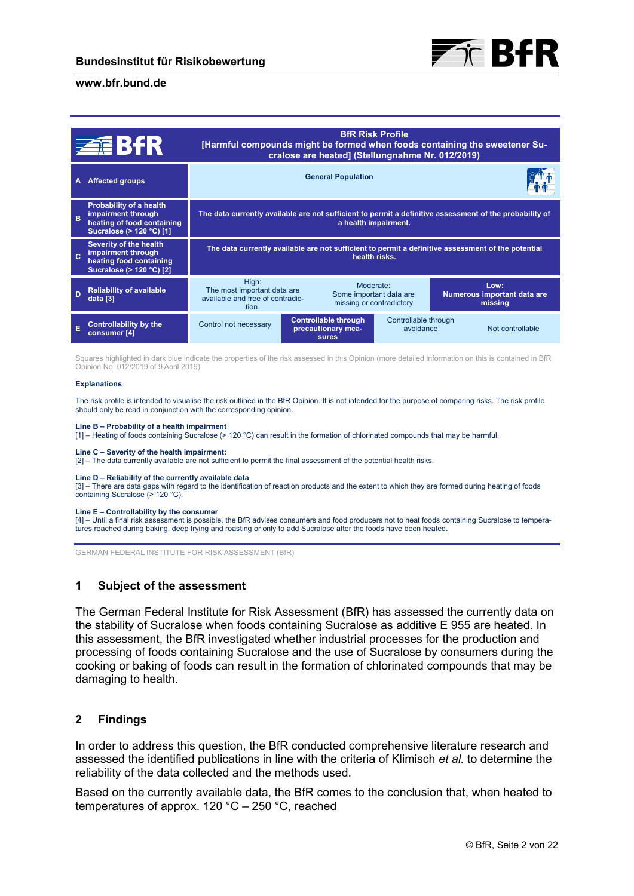

|              | <b>ZEBIR</b>                                                                                            | <b>BfR Risk Profile</b><br>[Harmful compounds might be formed when foods containing the sweetener Su-<br>cralose are heated] (Stellungnahme Nr. 012/2019) |                                                                   |                                   |                                                |
|--------------|---------------------------------------------------------------------------------------------------------|-----------------------------------------------------------------------------------------------------------------------------------------------------------|-------------------------------------------------------------------|-----------------------------------|------------------------------------------------|
| A            | <b>Affected groups</b>                                                                                  | <b>General Population</b>                                                                                                                                 |                                                                   |                                   |                                                |
| B            | Probability of a health<br>impairment through<br>heating of food containing<br>Sucralose (> 120 °C) [1] | The data currently available are not sufficient to permit a definitive assessment of the probability of<br>a health impairment.                           |                                                                   |                                   |                                                |
| $\mathbf{c}$ | Severity of the health<br>impairment through<br>heating food containing<br>Sucralose (> 120 °C) [2]     | The data currently available are not sufficient to permit a definitive assessment of the potential<br>health risks.                                       |                                                                   |                                   |                                                |
| D            | <b>Reliability of available</b><br>data [3]                                                             | High:<br>The most important data are<br>available and free of contradic-<br>tion.                                                                         | Moderate:<br>Some important data are<br>missing or contradictory  |                                   | Low:<br>Numerous important data are<br>missing |
|              | <b>Controllability by the</b><br>consumer [4]                                                           | Control not necessary                                                                                                                                     | <b>Controllable through</b><br>precautionary mea-<br><b>sures</b> | Controllable through<br>avoidance | Not controllable                               |

Squares highlighted in dark blue indicate the properties of the risk assessed in this Opinion (more detailed information on this is contained in BfR Opinion No. 012/2019 of 9 April 2019)

#### **Explanations**

The risk profile is intended to visualise the risk outlined in the BfR Opinion. It is not intended for the purpose of comparing risks. The risk profile should only be read in conjunction with the corresponding opinion.

#### **Line B – Probability of a health impairment**

[1] – Heating of foods containing Sucralose (> 120 °C) can result in the formation of chlorinated compounds that may be harmful.

#### **Line C – Severity of the health impairment:**

[2] – The data currently available are not sufficient to permit the final assessment of the potential health risks.

#### **Line D – Reliability of the currently available data**

[3] – There are data gaps with regard to the identification of reaction products and the extent to which they are formed during heating of foods containing Sucralose (> 120 °C).

#### **Line E – Controllability by the consumer**

[4] – Until a final risk assessment is possible, the BfR advises consumers and food producers not to heat foods containing Sucralose to temperatures reached during baking, deep frying and roasting or only to add Sucralose after the foods have been heated.

GERMAN FEDERAL INSTITUTE FOR RISK ASSESSMENT (BfR)

#### **1 Subject of the assessment**

The German Federal Institute for Risk Assessment (BfR) has assessed the currently data on the stability of Sucralose when foods containing Sucralose as additive E 955 are heated. In this assessment, the BfR investigated whether industrial processes for the production and processing of foods containing Sucralose and the use of Sucralose by consumers during the cooking or baking of foods can result in the formation of chlorinated compounds that may be damaging to health.

#### **2 Findings**

In order to address this question, the BfR conducted comprehensive literature research and assessed the identified publications in line with the criteria of Klimisch *et al.* to determine the reliability of the data collected and the methods used.

Based on the currently available data, the BfR comes to the conclusion that, when heated to temperatures of approx. 120 °C – 250 °C, reached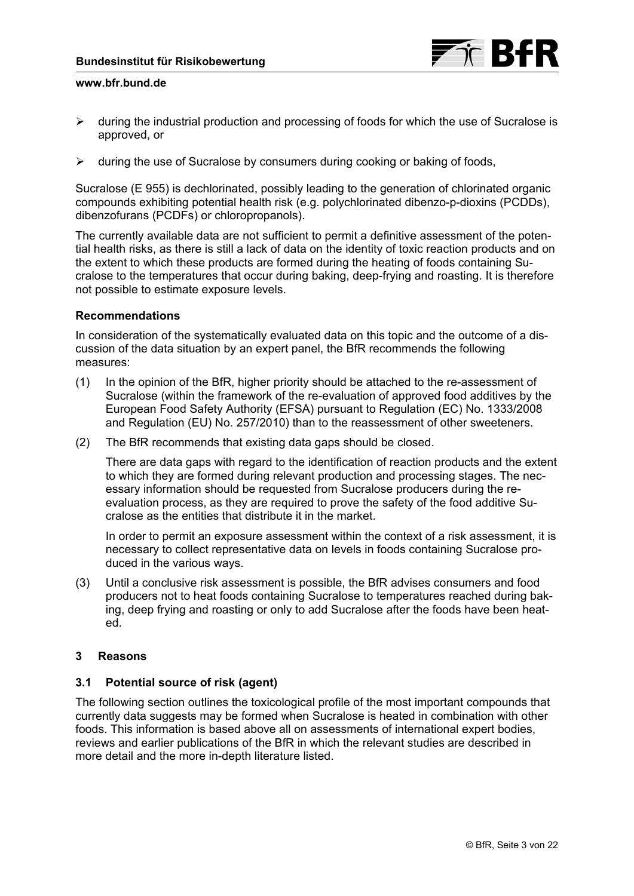

- $\triangleright$  during the industrial production and processing of foods for which the use of Sucralose is approved, or
- $\triangleright$  during the use of Sucralose by consumers during cooking or baking of foods,

Sucralose (E 955) is dechlorinated, possibly leading to the generation of chlorinated organic compounds exhibiting potential health risk (e.g. polychlorinated dibenzo-p-dioxins (PCDDs), dibenzofurans (PCDFs) or chloropropanols).

The currently available data are not sufficient to permit a definitive assessment of the potential health risks, as there is still a lack of data on the identity of toxic reaction products and on the extent to which these products are formed during the heating of foods containing Sucralose to the temperatures that occur during baking, deep-frying and roasting. It is therefore not possible to estimate exposure levels.

## **Recommendations**

In consideration of the systematically evaluated data on this topic and the outcome of a discussion of the data situation by an expert panel, the BfR recommends the following measures:

- (1) In the opinion of the BfR, higher priority should be attached to the re-assessment of Sucralose (within the framework of the re-evaluation of approved food additives by the European Food Safety Authority (EFSA) pursuant to Regulation (EC) No. 1333/2008 and Regulation (EU) No. 257/2010) than to the reassessment of other sweeteners.
- (2) The BfR recommends that existing data gaps should be closed.

There are data gaps with regard to the identification of reaction products and the extent to which they are formed during relevant production and processing stages. The necessary information should be requested from Sucralose producers during the reevaluation process, as they are required to prove the safety of the food additive Sucralose as the entities that distribute it in the market.

In order to permit an exposure assessment within the context of a risk assessment, it is necessary to collect representative data on levels in foods containing Sucralose produced in the various ways.

(3) Until a conclusive risk assessment is possible, the BfR advises consumers and food producers not to heat foods containing Sucralose to temperatures reached during baking, deep frying and roasting or only to add Sucralose after the foods have been heated.

## **3 Reasons**

## **3.1 Potential source of risk (agent)**

The following section outlines the toxicological profile of the most important compounds that currently data suggests may be formed when Sucralose is heated in combination with other foods. This information is based above all on assessments of international expert bodies, reviews and earlier publications of the BfR in which the relevant studies are described in more detail and the more in-depth literature listed.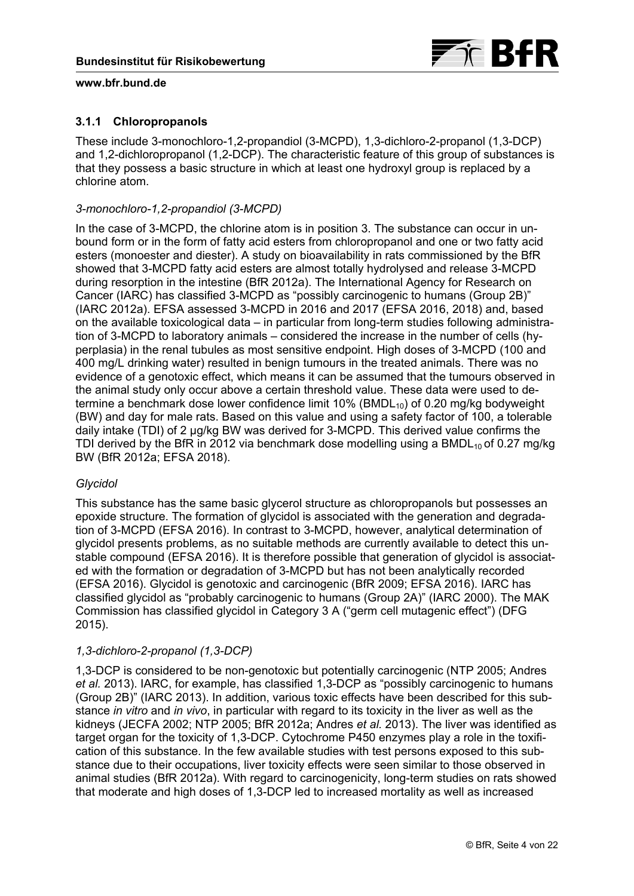

# **3.1.1 Chloropropanols**

These include 3-monochloro-1,2-propandiol (3-MCPD), 1,3-dichloro-2-propanol (1,3-DCP) and 1,2-dichloropropanol (1,2-DCP). The characteristic feature of this group of substances is that they possess a basic structure in which at least one hydroxyl group is replaced by a chlorine atom.

# *3-monochloro-1,2-propandiol (3-MCPD)*

In the case of 3-MCPD, the chlorine atom is in position 3. The substance can occur in unbound form or in the form of fatty acid esters from chloropropanol and one or two fatty acid esters (monoester and diester). A study on bioavailability in rats commissioned by the BfR showed that 3-MCPD fatty acid esters are almost totally hydrolysed and release 3-MCPD during resorption in the intestine (BfR 2012a). The International Agency for Research on Cancer (IARC) has classified 3-MCPD as "possibly carcinogenic to humans (Group 2B)" (IARC 2012a). EFSA assessed 3-MCPD in 2016 and 2017 (EFSA 2016, 2018) and, based on the available toxicological data – in particular from long-term studies following administration of 3-MCPD to laboratory animals – considered the increase in the number of cells (hyperplasia) in the renal tubules as most sensitive endpoint. High doses of 3-MCPD (100 and 400 mg/L drinking water) resulted in benign tumours in the treated animals. There was no evidence of a genotoxic effect, which means it can be assumed that the tumours observed in the animal study only occur above a certain threshold value. These data were used to determine a benchmark dose lower confidence limit  $10\%$  (BMDL<sub>10</sub>) of 0.20 mg/kg bodyweight (BW) and day for male rats. Based on this value and using a safety factor of 100, a tolerable daily intake (TDI) of 2 µg/kg BW was derived for 3-MCPD. This derived value confirms the TDI derived by the BfR in 2012 via benchmark dose modelling using a BMDL $_{10}$  of 0.27 mg/kg BW (BfR 2012a; EFSA 2018).

# *Glycidol*

This substance has the same basic glycerol structure as chloropropanols but possesses an epoxide structure. The formation of glycidol is associated with the generation and degradation of 3-MCPD (EFSA 2016). In contrast to 3-MCPD, however, analytical determination of glycidol presents problems, as no suitable methods are currently available to detect this unstable compound (EFSA 2016). It is therefore possible that generation of glycidol is associated with the formation or degradation of 3-MCPD but has not been analytically recorded (EFSA 2016). Glycidol is genotoxic and carcinogenic (BfR 2009; EFSA 2016). IARC has classified glycidol as "probably carcinogenic to humans (Group 2A)" (IARC 2000). The MAK Commission has classified glycidol in Category 3 A ("germ cell mutagenic effect") (DFG 2015).

# *1,3-dichloro-2-propanol (1,3-DCP)*

1,3-DCP is considered to be non-genotoxic but potentially carcinogenic (NTP 2005; Andres *et al.* 2013). IARC, for example, has classified 1,3-DCP as "possibly carcinogenic to humans (Group 2B)" (IARC 2013). In addition, various toxic effects have been described for this substance *in vitro* and *in vivo*, in particular with regard to its toxicity in the liver as well as the kidneys (JECFA 2002; NTP 2005; BfR 2012a; Andres *et al.* 2013). The liver was identified as target organ for the toxicity of 1,3-DCP. Cytochrome P450 enzymes play a role in the toxification of this substance. In the few available studies with test persons exposed to this substance due to their occupations, liver toxicity effects were seen similar to those observed in animal studies (BfR 2012a). With regard to carcinogenicity, long-term studies on rats showed that moderate and high doses of 1,3-DCP led to increased mortality as well as increased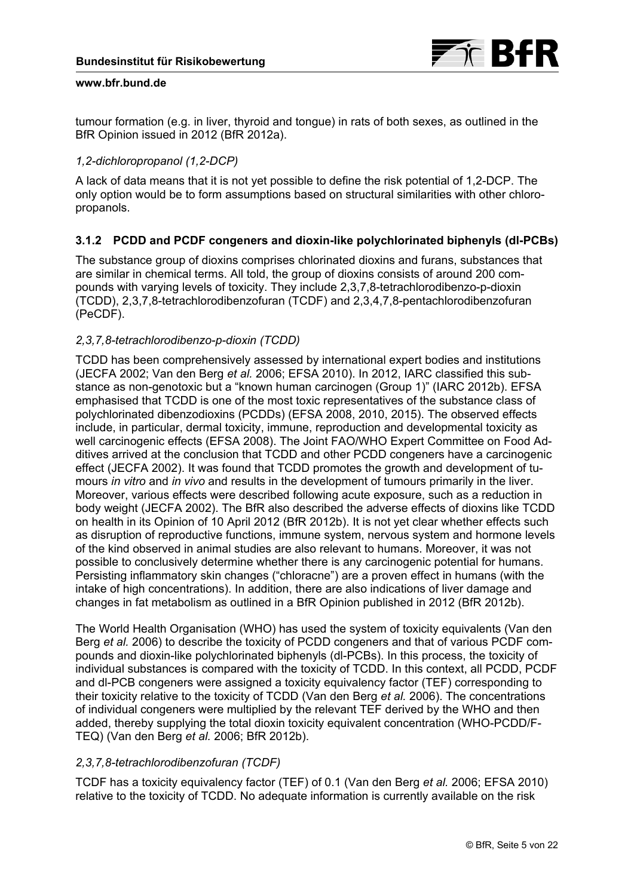

tumour formation (e.g. in liver, thyroid and tongue) in rats of both sexes, as outlined in the BfR Opinion issued in 2012 (BfR 2012a).

# *1,2-dichloropropanol (1,2-DCP)*

A lack of data means that it is not yet possible to define the risk potential of 1,2-DCP. The only option would be to form assumptions based on structural similarities with other chloropropanols.

# **3.1.2 PCDD and PCDF congeners and dioxin-like polychlorinated biphenyls (dl-PCBs)**

The substance group of dioxins comprises chlorinated dioxins and furans, substances that are similar in chemical terms. All told, the group of dioxins consists of around 200 compounds with varying levels of toxicity. They include 2,3,7,8-tetrachlorodibenzo-p-dioxin (TCDD), 2,3,7,8-tetrachlorodibenzofuran (TCDF) and 2,3,4,7,8-pentachlorodibenzofuran (PeCDF).

## *2,3,7,8-tetrachlorodibenzo-p-dioxin (TCDD)*

TCDD has been comprehensively assessed by international expert bodies and institutions (JECFA 2002; Van den Berg *et al.* 2006; EFSA 2010). In 2012, IARC classified this substance as non-genotoxic but a "known human carcinogen (Group 1)" (IARC 2012b). EFSA emphasised that TCDD is one of the most toxic representatives of the substance class of polychlorinated dibenzodioxins (PCDDs) (EFSA 2008, 2010, 2015). The observed effects include, in particular, dermal toxicity, immune, reproduction and developmental toxicity as well carcinogenic effects (EFSA 2008). The Joint FAO/WHO Expert Committee on Food Additives arrived at the conclusion that TCDD and other PCDD congeners have a carcinogenic effect (JECFA 2002). It was found that TCDD promotes the growth and development of tumours *in vitro* and *in vivo* and results in the development of tumours primarily in the liver. Moreover, various effects were described following acute exposure, such as a reduction in body weight (JECFA 2002). The BfR also described the adverse effects of dioxins like TCDD on health in its Opinion of 10 April 2012 (BfR 2012b). It is not yet clear whether effects such as disruption of reproductive functions, immune system, nervous system and hormone levels of the kind observed in animal studies are also relevant to humans. Moreover, it was not possible to conclusively determine whether there is any carcinogenic potential for humans. Persisting inflammatory skin changes ("chloracne") are a proven effect in humans (with the intake of high concentrations). In addition, there are also indications of liver damage and changes in fat metabolism as outlined in a BfR Opinion published in 2012 (BfR 2012b).

The World Health Organisation (WHO) has used the system of toxicity equivalents (Van den Berg *et al.* 2006) to describe the toxicity of PCDD congeners and that of various PCDF compounds and dioxin-like polychlorinated biphenyls (dl-PCBs). In this process, the toxicity of individual substances is compared with the toxicity of TCDD. In this context, all PCDD, PCDF and dl-PCB congeners were assigned a toxicity equivalency factor (TEF) corresponding to their toxicity relative to the toxicity of TCDD (Van den Berg *et al.* 2006). The concentrations of individual congeners were multiplied by the relevant TEF derived by the WHO and then added, thereby supplying the total dioxin toxicity equivalent concentration (WHO-PCDD/F-TEQ) (Van den Berg *et al.* 2006; BfR 2012b).

# *2,3,7,8-tetrachlorodibenzofuran (TCDF)*

TCDF has a toxicity equivalency factor (TEF) of 0.1 (Van den Berg *et al.* 2006; EFSA 2010) relative to the toxicity of TCDD. No adequate information is currently available on the risk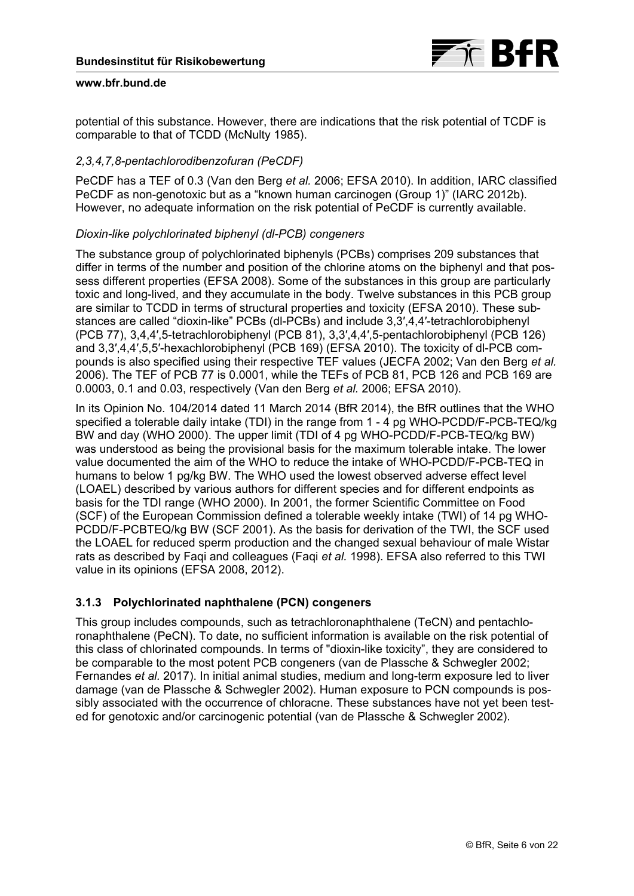

potential of this substance. However, there are indications that the risk potential of TCDF is comparable to that of TCDD (McNulty 1985).

# *2,3,4,7,8-pentachlorodibenzofuran (PeCDF)*

PeCDF has a TEF of 0.3 (Van den Berg *et al.* 2006; EFSA 2010). In addition, IARC classified PeCDF as non-genotoxic but as a "known human carcinogen (Group 1)" (IARC 2012b). However, no adequate information on the risk potential of PeCDF is currently available.

## *Dioxin-like polychlorinated biphenyl (dl-PCB) congeners*

The substance group of polychlorinated biphenyls (PCBs) comprises 209 substances that differ in terms of the number and position of the chlorine atoms on the biphenyl and that possess different properties (EFSA 2008). Some of the substances in this group are particularly toxic and long-lived, and they accumulate in the body. Twelve substances in this PCB group are similar to TCDD in terms of structural properties and toxicity (EFSA 2010). These substances are called "dioxin-like" PCBs (dl-PCBs) and include 3,3′,4,4′-tetrachlorobiphenyl (PCB 77), 3,4,4′,5-tetrachlorobiphenyl (PCB 81), 3,3′,4,4′,5-pentachlorobiphenyl (PCB 126) and 3,3′,4,4′,5,5′-hexachlorobiphenyl (PCB 169) (EFSA 2010). The toxicity of dl-PCB compounds is also specified using their respective TEF values (JECFA 2002; Van den Berg *et al.* 2006). The TEF of PCB 77 is 0.0001, while the TEFs of PCB 81, PCB 126 and PCB 169 are 0.0003, 0.1 and 0.03, respectively (Van den Berg *et al.* 2006; EFSA 2010).

In its Opinion No. 104/2014 dated 11 March 2014 (BfR 2014), the BfR outlines that the WHO specified a tolerable daily intake (TDI) in the range from 1 - 4 pg WHO-PCDD/F-PCB-TEQ/kg BW and day (WHO 2000). The upper limit (TDI of 4 pg WHO-PCDD/F-PCB-TEQ/kg BW) was understood as being the provisional basis for the maximum tolerable intake. The lower value documented the aim of the WHO to reduce the intake of WHO-PCDD/F-PCB-TEQ in humans to below 1 pg/kg BW. The WHO used the lowest observed adverse effect level (LOAEL) described by various authors for different species and for different endpoints as basis for the TDI range (WHO 2000). In 2001, the former Scientific Committee on Food (SCF) of the European Commission defined a tolerable weekly intake (TWI) of 14 pg WHO-PCDD/F-PCBTEQ/kg BW (SCF 2001). As the basis for derivation of the TWI, the SCF used the LOAEL for reduced sperm production and the changed sexual behaviour of male Wistar rats as described by Faqi and colleagues (Faqi *et al.* 1998). EFSA also referred to this TWI value in its opinions (EFSA 2008, 2012).

# **3.1.3 Polychlorinated naphthalene (PCN) congeners**

This group includes compounds, such as tetrachloronaphthalene (TeCN) and pentachloronaphthalene (PeCN). To date, no sufficient information is available on the risk potential of this class of chlorinated compounds. In terms of "dioxin-like toxicity", they are considered to be comparable to the most potent PCB congeners (van de Plassche & Schwegler 2002; Fernandes *et al.* 2017). In initial animal studies, medium and long-term exposure led to liver damage (van de Plassche & Schwegler 2002). Human exposure to PCN compounds is possibly associated with the occurrence of chloracne. These substances have not yet been tested for genotoxic and/or carcinogenic potential (van de Plassche & Schwegler 2002).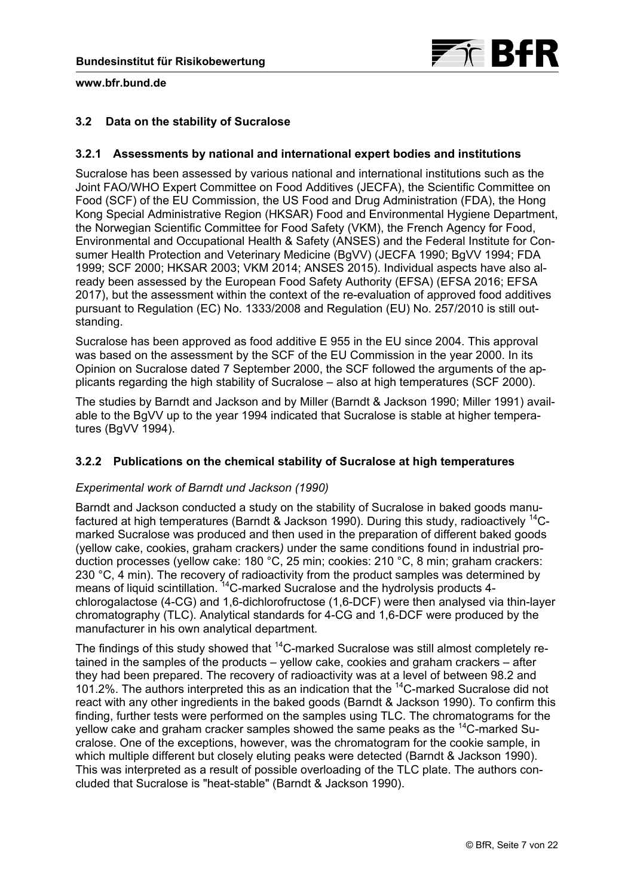

# <span id="page-6-0"></span>**3.2 Data on the stability of Sucralose**

## **3.2.1 Assessments by national and international expert bodies and institutions**

Sucralose has been assessed by various national and international institutions such as the Joint FAO/WHO Expert Committee on Food Additives (JECFA), the Scientific Committee on Food (SCF) of the EU Commission, the US Food and Drug Administration (FDA), the Hong Kong Special Administrative Region (HKSAR) Food and Environmental Hygiene Department, the Norwegian Scientific Committee for Food Safety (VKM), the French Agency for Food, Environmental and Occupational Health & Safety (ANSES) and the Federal Institute for Consumer Health Protection and Veterinary Medicine (BgVV) (JECFA 1990; BgVV 1994; FDA 1999; SCF 2000; HKSAR 2003; VKM 2014; ANSES 2015). Individual aspects have also already been assessed by the European Food Safety Authority (EFSA) (EFSA 2016; EFSA 2017), but the assessment within the context of the re-evaluation of approved food additives pursuant to Regulation (EC) No. 1333/2008 and Regulation (EU) No. 257/2010 is still outstanding.

Sucralose has been approved as food additive E 955 in the EU since 2004. This approval was based on the assessment by the SCF of the EU Commission in the year 2000. In its Opinion on Sucralose dated 7 September 2000, the SCF followed the arguments of the applicants regarding the high stability of Sucralose – also at high temperatures (SCF 2000).

The studies by Barndt and Jackson and by Miller (Barndt & Jackson 1990; Miller 1991) available to the BgVV up to the year 1994 indicated that Sucralose is stable at higher temperatures (BgVV 1994).

## **3.2.2 Publications on the chemical stability of Sucralose at high temperatures**

## *Experimental work of Barndt und Jackson (1990)*

Barndt and Jackson conducted a study on the stability of Sucralose in baked goods manufactured at high temperatures (Barndt & Jackson 1990). During this study, radioactively 14Cmarked Sucralose was produced and then used in the preparation of different baked goods (yellow cake, cookies, graham crackers*)* under the same conditions found in industrial production processes (yellow cake: 180 °C, 25 min; cookies: 210 °C, 8 min; graham crackers: 230 °C, 4 min). The recovery of radioactivity from the product samples was determined by means of liquid scintillation. <sup>14</sup>C-marked Sucralose and the hydrolysis products 4chlorogalactose (4-CG) and 1,6-dichlorofructose (1,6-DCF) were then analysed via thin-layer chromatography (TLC). Analytical standards for 4-CG and 1,6-DCF were produced by the manufacturer in his own analytical department.

The findings of this study showed that <sup>14</sup>C-marked Sucralose was still almost completely retained in the samples of the products – yellow cake, cookies and graham crackers – after they had been prepared. The recovery of radioactivity was at a level of between 98.2 and 101.2%. The authors interpreted this as an indication that the <sup>14</sup>C-marked Sucralose did not react with any other ingredients in the baked goods (Barndt & Jackson 1990). To confirm this finding, further tests were performed on the samples using TLC. The chromatograms for the yellow cake and graham cracker samples showed the same peaks as the 14C-marked Sucralose. One of the exceptions, however, was the chromatogram for the cookie sample, in which multiple different but closely eluting peaks were detected (Barndt & Jackson 1990). This was interpreted as a result of possible overloading of the TLC plate. The authors concluded that Sucralose is "heat-stable" (Barndt & Jackson 1990).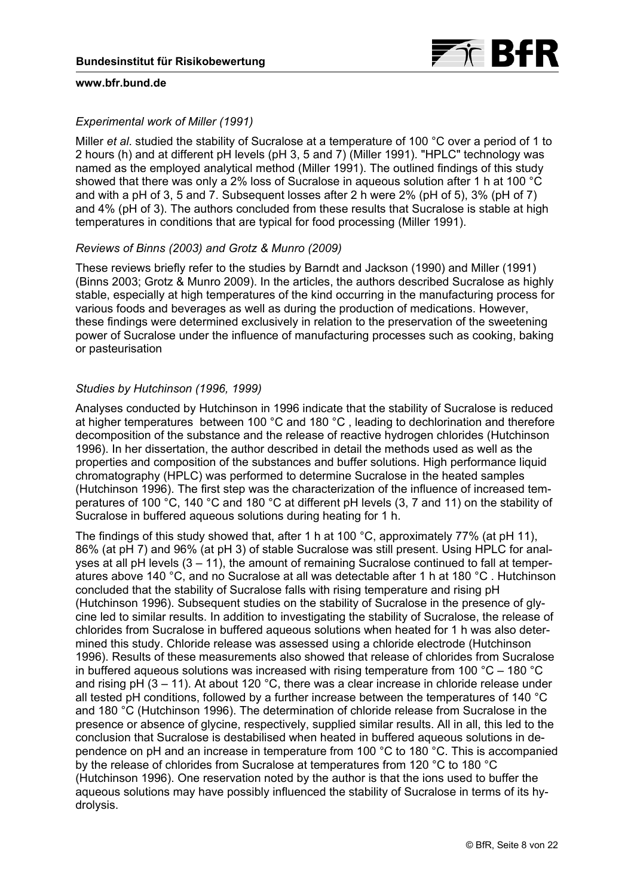# *Experimental work of Miller (1991)*

Miller *et al*. studied the stability of Sucralose at a temperature of 100 °C over a period of 1 to 2 hours (h) and at different pH levels (pH 3, 5 and 7) (Miller 1991). "HPLC" technology was named as the employed analytical method (Miller 1991). The outlined findings of this study showed that there was only a 2% loss of Sucralose in aqueous solution after 1 h at 100 °C and with a pH of 3, 5 and 7. Subsequent losses after 2 h were 2% (pH of 5), 3% (pH of 7) and 4% (pH of 3). The authors concluded from these results that Sucralose is stable at high temperatures in conditions that are typical for food processing (Miller 1991).

## *Reviews of Binns (2003) and Grotz & Munro (2009)*

These reviews briefly refer to the studies by Barndt and Jackson (1990) and Miller (1991) (Binns 2003; Grotz & Munro 2009). In the articles, the authors described Sucralose as highly stable, especially at high temperatures of the kind occurring in the manufacturing process for various foods and beverages as well as during the production of medications. However, these findings were determined exclusively in relation to the preservation of the sweetening power of Sucralose under the influence of manufacturing processes such as cooking, baking or pasteurisation

## *Studies by Hutchinson (1996, 1999)*

Analyses conducted by Hutchinson in 1996 indicate that the stability of Sucralose is reduced at higher temperatures between 100 °C and 180 °C , leading to dechlorination and therefore decomposition of the substance and the release of reactive hydrogen chlorides (Hutchinson 1996). In her dissertation, the author described in detail the methods used as well as the properties and composition of the substances and buffer solutions. High performance liquid chromatography (HPLC) was performed to determine Sucralose in the heated samples (Hutchinson 1996). The first step was the characterization of the influence of increased temperatures of 100 °C, 140 °C and 180 °C at different pH levels (3, 7 and 11) on the stability of Sucralose in buffered aqueous solutions during heating for 1 h.

The findings of this study showed that, after 1 h at 100 °C, approximately 77% (at pH 11), 86% (at pH 7) and 96% (at pH 3) of stable Sucralose was still present. Using HPLC for analyses at all pH levels  $(3 - 11)$ , the amount of remaining Sucralose continued to fall at temperatures above 140 °C, and no Sucralose at all was detectable after 1 h at 180 °C . Hutchinson concluded that the stability of Sucralose falls with rising temperature and rising pH (Hutchinson 1996). Subsequent studies on the stability of Sucralose in the presence of glycine led to similar results. In addition to investigating the stability of Sucralose, the release of chlorides from Sucralose in buffered aqueous solutions when heated for 1 h was also determined this study. Chloride release was assessed using a chloride electrode (Hutchinson 1996). Results of these measurements also showed that release of chlorides from Sucralose in buffered aqueous solutions was increased with rising temperature from 100  $^{\circ}$ C – 180  $^{\circ}$ C and rising pH (3 – 11). At about 120 °C, there was a clear increase in chloride release under all tested pH conditions, followed by a further increase between the temperatures of 140 °C and 180 °C (Hutchinson 1996). The determination of chloride release from Sucralose in the presence or absence of glycine, respectively, supplied similar results. All in all, this led to the conclusion that Sucralose is destabilised when heated in buffered aqueous solutions in dependence on pH and an increase in temperature from 100 °C to 180 °C. This is accompanied by the release of chlorides from Sucralose at temperatures from 120 °C to 180 °C (Hutchinson 1996). One reservation noted by the author is that the ions used to buffer the aqueous solutions may have possibly influenced the stability of Sucralose in terms of its hydrolysis.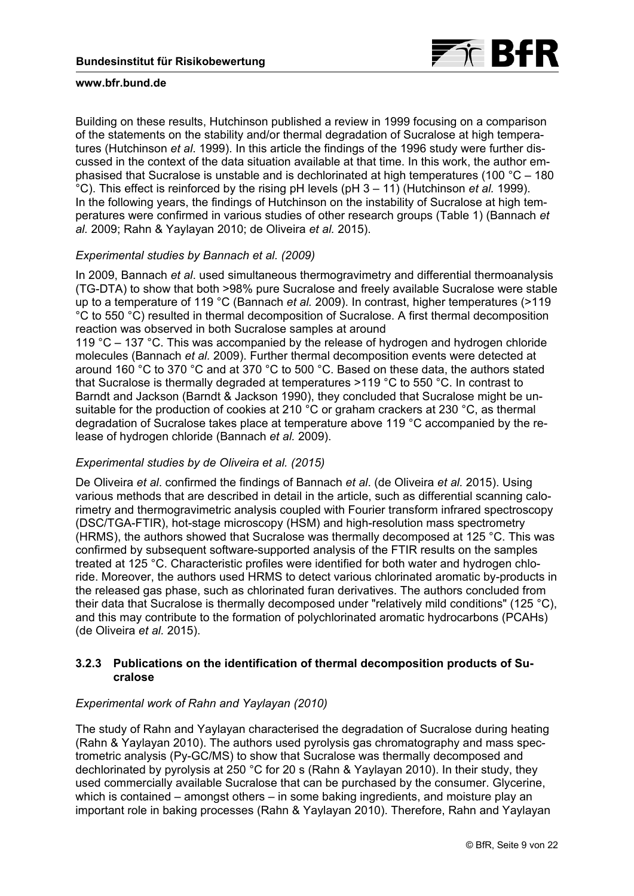

Building on these results, Hutchinson published a review in 1999 focusing on a comparison of the statements on the stability and/or thermal degradation of Sucralose at high temperatures (Hutchinson *et al*. 1999). In this article the findings of the 1996 study were further discussed in the context of the data situation available at that time. In this work, the author emphasised that Sucralose is unstable and is dechlorinated at high temperatures (100 °C – 180 °C). This effect is reinforced by the rising pH levels (pH 3 – 11) (Hutchinson *et al.* 1999). In the following years, the findings of Hutchinson on the instability of Sucralose at high temperatures were confirmed in various studies of other research groups [\(Table 1\)](#page-13-0) (Bannach *et al.* 2009; Rahn & Yaylayan 2010; de Oliveira *et al.* 2015).

## *Experimental studies by Bannach et al. (2009)*

In 2009, Bannach *et al*. used simultaneous thermogravimetry and differential thermoanalysis (TG-DTA) to show that both >98% pure Sucralose and freely available Sucralose were stable up to a temperature of 119 °C (Bannach *et al.* 2009). In contrast, higher temperatures (>119 °C to 550 °C) resulted in thermal decomposition of Sucralose. A first thermal decomposition reaction was observed in both Sucralose samples at around

119 °C – 137 °C. This was accompanied by the release of hydrogen and hydrogen chloride molecules (Bannach *et al.* 2009). Further thermal decomposition events were detected at around 160 °C to 370 °C and at 370 °C to 500 °C. Based on these data, the authors stated that Sucralose is thermally degraded at temperatures >119 °C to 550 °C. In contrast to Barndt and Jackson (Barndt & Jackson 1990), they concluded that Sucralose might be unsuitable for the production of cookies at 210 °C or graham crackers at 230 °C, as thermal degradation of Sucralose takes place at temperature above 119 °C accompanied by the release of hydrogen chloride (Bannach *et al.* 2009).

## *Experimental studies by de Oliveira et al. (2015)*

De Oliveira *et al*. confirmed the findings of Bannach *et al*. (de Oliveira *et al.* 2015). Using various methods that are described in detail in the article, such as differential scanning calorimetry and thermogravimetric analysis coupled with Fourier transform infrared spectroscopy (DSC/TGA-FTIR), hot-stage microscopy (HSM) and high-resolution mass spectrometry (HRMS), the authors showed that Sucralose was thermally decomposed at 125 °C. This was confirmed by subsequent software-supported analysis of the FTIR results on the samples treated at 125 °C. Characteristic profiles were identified for both water and hydrogen chloride. Moreover, the authors used HRMS to detect various chlorinated aromatic by-products in the released gas phase, such as chlorinated furan derivatives. The authors concluded from their data that Sucralose is thermally decomposed under "relatively mild conditions" (125 °C), and this may contribute to the formation of polychlorinated aromatic hydrocarbons (PCAHs) (de Oliveira *et al.* 2015).

## **3.2.3 Publications on the identification of thermal decomposition products of Sucralose**

# *Experimental work of Rahn and Yaylayan (2010)*

The study of Rahn and Yaylayan characterised the degradation of Sucralose during heating (Rahn & Yaylayan 2010). The authors used pyrolysis gas chromatography and mass spectrometric analysis (Py-GC/MS) to show that Sucralose was thermally decomposed and dechlorinated by pyrolysis at 250 °C for 20 s (Rahn & Yaylayan 2010). In their study, they used commercially available Sucralose that can be purchased by the consumer. Glycerine, which is contained – amongst others – in some baking ingredients, and moisture play an important role in baking processes (Rahn & Yaylayan 2010). Therefore, Rahn and Yaylayan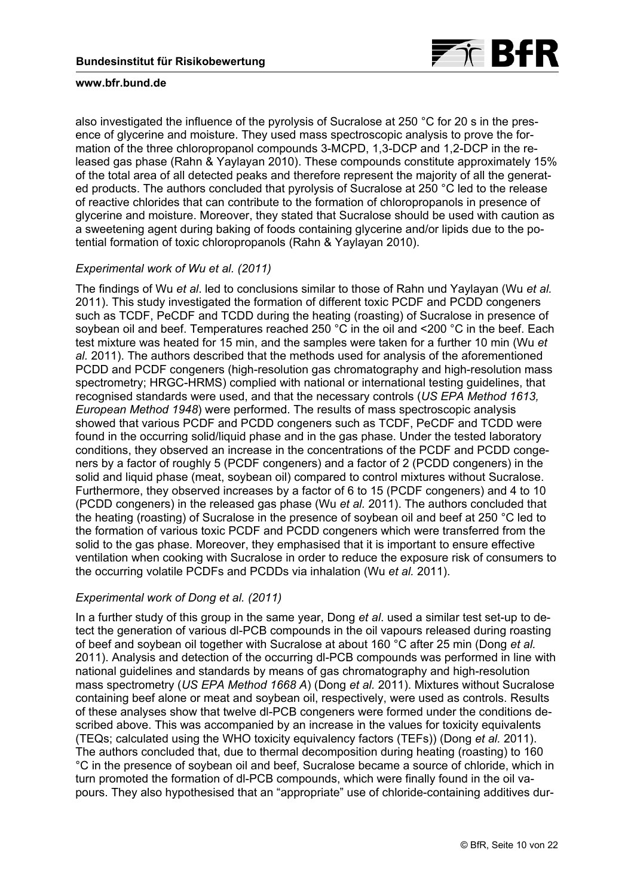

also investigated the influence of the pyrolysis of Sucralose at 250 °C for 20 s in the presence of glycerine and moisture. They used mass spectroscopic analysis to prove the formation of the three chloropropanol compounds 3-MCPD, 1,3-DCP and 1,2-DCP in the released gas phase (Rahn & Yaylayan 2010). These compounds constitute approximately 15% of the total area of all detected peaks and therefore represent the majority of all the generated products. The authors concluded that pyrolysis of Sucralose at 250 °C led to the release of reactive chlorides that can contribute to the formation of chloropropanols in presence of glycerine and moisture. Moreover, they stated that Sucralose should be used with caution as a sweetening agent during baking of foods containing glycerine and/or lipids due to the potential formation of toxic chloropropanols (Rahn & Yaylayan 2010).

# *Experimental work of Wu et al. (2011)*

The findings of Wu *et al*. led to conclusions similar to those of Rahn und Yaylayan (Wu *et al.* 2011). This study investigated the formation of different toxic PCDF and PCDD congeners such as TCDF, PeCDF and TCDD during the heating (roasting) of Sucralose in presence of soybean oil and beef. Temperatures reached 250 °C in the oil and <200 °C in the beef. Each test mixture was heated for 15 min, and the samples were taken for a further 10 min (Wu *et al.* 2011). The authors described that the methods used for analysis of the aforementioned PCDD and PCDF congeners (high-resolution gas chromatography and high-resolution mass spectrometry; HRGC-HRMS) complied with national or international testing guidelines, that recognised standards were used, and that the necessary controls (*US EPA Method 1613, European Method 1948*) were performed. The results of mass spectroscopic analysis showed that various PCDF and PCDD congeners such as TCDF, PeCDF and TCDD were found in the occurring solid/liquid phase and in the gas phase. Under the tested laboratory conditions, they observed an increase in the concentrations of the PCDF and PCDD congeners by a factor of roughly 5 (PCDF congeners) and a factor of 2 (PCDD congeners) in the solid and liquid phase (meat, soybean oil) compared to control mixtures without Sucralose. Furthermore, they observed increases by a factor of 6 to 15 (PCDF congeners) and 4 to 10 (PCDD congeners) in the released gas phase (Wu *et al.* 2011). The authors concluded that the heating (roasting) of Sucralose in the presence of soybean oil and beef at 250 °C led to the formation of various toxic PCDF and PCDD congeners which were transferred from the solid to the gas phase. Moreover, they emphasised that it is important to ensure effective ventilation when cooking with Sucralose in order to reduce the exposure risk of consumers to the occurring volatile PCDFs and PCDDs via inhalation (Wu *et al.* 2011).

## *Experimental work of Dong et al. (2011)*

In a further study of this group in the same year, Dong *et al*. used a similar test set-up to detect the generation of various dl-PCB compounds in the oil vapours released during roasting of beef and soybean oil together with Sucralose at about 160 °C after 25 min (Dong *et al.* 2011). Analysis and detection of the occurring dl-PCB compounds was performed in line with national guidelines and standards by means of gas chromatography and high-resolution mass spectrometry (*US EPA Method 1668 A*) (Dong *et al.* 2011). Mixtures without Sucralose containing beef alone or meat and soybean oil, respectively, were used as controls. Results of these analyses show that twelve dl-PCB congeners were formed under the conditions described above. This was accompanied by an increase in the values for toxicity equivalents (TEQs; calculated using the WHO toxicity equivalency factors (TEFs)) (Dong *et al.* 2011). The authors concluded that, due to thermal decomposition during heating (roasting) to 160 °C in the presence of soybean oil and beef, Sucralose became a source of chloride, which in turn promoted the formation of dl-PCB compounds, which were finally found in the oil vapours. They also hypothesised that an "appropriate" use of chloride-containing additives dur-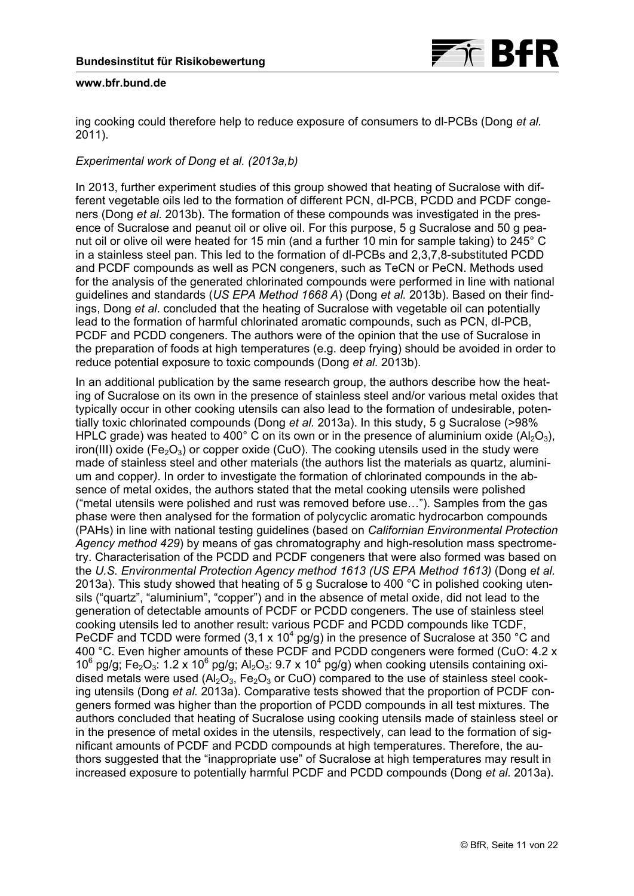

ing cooking could therefore help to reduce exposure of consumers to dl-PCBs (Dong *et al.* 2011).

# *Experimental work of Dong et al. (2013a,b)*

In 2013, further experiment studies of this group showed that heating of Sucralose with different vegetable oils led to the formation of different PCN, dl-PCB, PCDD and PCDF congeners (Dong *et al.* 2013b). The formation of these compounds was investigated in the presence of Sucralose and peanut oil or olive oil. For this purpose, 5 g Sucralose and 50 g peanut oil or olive oil were heated for 15 min (and a further 10 min for sample taking) to 245° C in a stainless steel pan. This led to the formation of dl-PCBs and 2,3,7,8-substituted PCDD and PCDF compounds as well as PCN congeners, such as TeCN or PeCN. Methods used for the analysis of the generated chlorinated compounds were performed in line with national guidelines and standards (*US EPA Method 1668 A*) (Dong *et al.* 2013b). Based on their findings, Dong *et al*. concluded that the heating of Sucralose with vegetable oil can potentially lead to the formation of harmful chlorinated aromatic compounds, such as PCN, dl-PCB, PCDF and PCDD congeners. The authors were of the opinion that the use of Sucralose in the preparation of foods at high temperatures (e.g. deep frying) should be avoided in order to reduce potential exposure to toxic compounds (Dong *et al.* 2013b).

In an additional publication by the same research group, the authors describe how the heating of Sucralose on its own in the presence of stainless steel and/or various metal oxides that typically occur in other cooking utensils can also lead to the formation of undesirable, potentially toxic chlorinated compounds (Dong *et al.* 2013a). In this study, 5 g Sucralose (>98% HPLC grade) was heated to 400° C on its own or in the presence of aluminium oxide  $(AI_2O_3)$ , iron(III) oxide (Fe<sub>2</sub>O<sub>3</sub>) or copper oxide (CuO). The cooking utensils used in the study were made of stainless steel and other materials (the authors list the materials as quartz, aluminium and copper*)*. In order to investigate the formation of chlorinated compounds in the absence of metal oxides, the authors stated that the metal cooking utensils were polished ("metal utensils were polished and rust was removed before use…"). Samples from the gas phase were then analysed for the formation of polycyclic aromatic hydrocarbon compounds (PAHs) in line with national testing guidelines (based on *Californian Environmental Protection Agency method 429*) by means of gas chromatography and high-resolution mass spectrometry. Characterisation of the PCDD and PCDF congeners that were also formed was based on the *U.S. Environmental Protection Agency method 1613 (US EPA Method 1613)* (Dong *et al.* 2013a). This study showed that heating of 5 g Sucralose to 400 °C in polished cooking utensils ("quartz", "aluminium", "copper") and in the absence of metal oxide, did not lead to the generation of detectable amounts of PCDF or PCDD congeners. The use of stainless steel cooking utensils led to another result: various PCDF and PCDD compounds like TCDF, PeCDF and TCDD were formed (3,1 x 10<sup>4</sup> pg/g) in the presence of Sucralose at 350 °C and 400 °C. Even higher amounts of these PCDF and PCDD congeners were formed (CuO: 4.2 x 10<sup>6</sup> pg/g; Fe<sub>2</sub>O<sub>3</sub>: 1.2 x 10<sup>6</sup> pg/g; Al<sub>2</sub>O<sub>3</sub>: 9.7 x 10<sup>4</sup> pg/g) when cooking utensils containing oxidised metals were used  $(A_2O_3, Fe_2O_3$  or CuO) compared to the use of stainless steel cooking utensils (Dong *et al.* 2013a). Comparative tests showed that the proportion of PCDF congeners formed was higher than the proportion of PCDD compounds in all test mixtures. The authors concluded that heating of Sucralose using cooking utensils made of stainless steel or in the presence of metal oxides in the utensils, respectively, can lead to the formation of significant amounts of PCDF and PCDD compounds at high temperatures. Therefore, the authors suggested that the "inappropriate use" of Sucralose at high temperatures may result in increased exposure to potentially harmful PCDF and PCDD compounds (Dong *et al.* 2013a).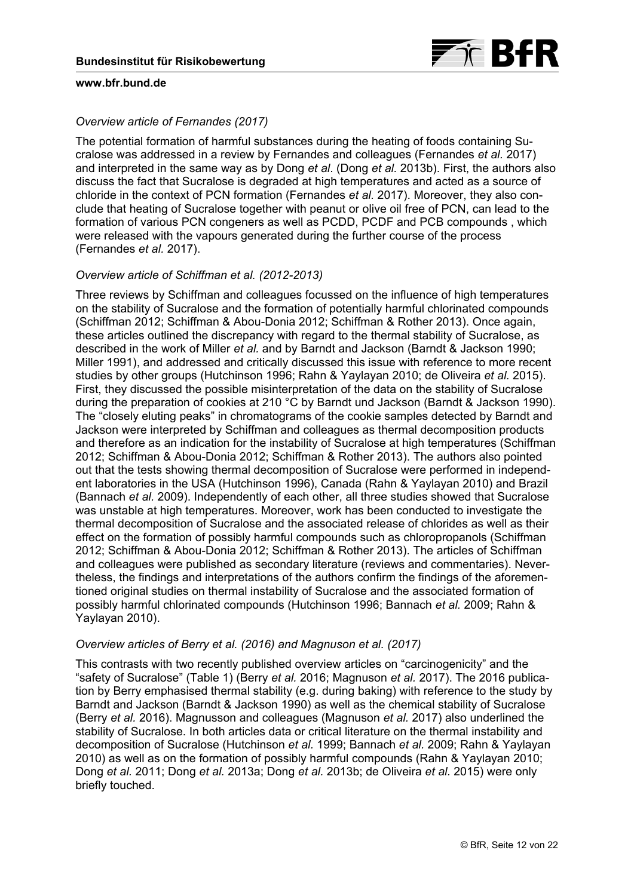# *Overview article of Fernandes (2017)*

The potential formation of harmful substances during the heating of foods containing Sucralose was addressed in a review by Fernandes and colleagues (Fernandes *et al.* 2017) and interpreted in the same way as by Dong *et al*. (Dong *et al.* 2013b). First, the authors also discuss the fact that Sucralose is degraded at high temperatures and acted as a source of chloride in the context of PCN formation (Fernandes *et al.* 2017). Moreover, they also conclude that heating of Sucralose together with peanut or olive oil free of PCN, can lead to the formation of various PCN congeners as well as PCDD, PCDF and PCB compounds , which were released with the vapours generated during the further course of the process (Fernandes *et al.* 2017).

## *Overview article of Schiffman et al. (2012-2013)*

Three reviews by Schiffman and colleagues focussed on the influence of high temperatures on the stability of Sucralose and the formation of potentially harmful chlorinated compounds (Schiffman 2012; Schiffman & Abou-Donia 2012; Schiffman & Rother 2013). Once again, these articles outlined the discrepancy with regard to the thermal stability of Sucralose, as described in the work of Miller *et al.* and by Barndt and Jackson (Barndt & Jackson 1990; Miller 1991), and addressed and critically discussed this issue with reference to more recent studies by other groups (Hutchinson 1996; Rahn & Yaylayan 2010; de Oliveira *et al.* 2015). First, they discussed the possible misinterpretation of the data on the stability of Sucralose during the preparation of cookies at 210 °C by Barndt und Jackson (Barndt & Jackson 1990). The "closely eluting peaks" in chromatograms of the cookie samples detected by Barndt and Jackson were interpreted by Schiffman and colleagues as thermal decomposition products and therefore as an indication for the instability of Sucralose at high temperatures (Schiffman 2012; Schiffman & Abou-Donia 2012; Schiffman & Rother 2013). The authors also pointed out that the tests showing thermal decomposition of Sucralose were performed in independent laboratories in the USA (Hutchinson 1996), Canada (Rahn & Yaylayan 2010) and Brazil (Bannach *et al.* 2009). Independently of each other, all three studies showed that Sucralose was unstable at high temperatures. Moreover, work has been conducted to investigate the thermal decomposition of Sucralose and the associated release of chlorides as well as their effect on the formation of possibly harmful compounds such as chloropropanols (Schiffman 2012; Schiffman & Abou-Donia 2012; Schiffman & Rother 2013). The articles of Schiffman and colleagues were published as secondary literature (reviews and commentaries). Nevertheless, the findings and interpretations of the authors confirm the findings of the aforementioned original studies on thermal instability of Sucralose and the associated formation of possibly harmful chlorinated compounds (Hutchinson 1996; Bannach *et al.* 2009; Rahn & Yaylayan 2010).

## *Overview articles of Berry et al. (2016) and Magnuson et al. (2017)*

This contrasts with two recently published overview articles on "carcinogenicity" and the "safety of Sucralose" ([Table 1](#page-13-0)) (Berry *et al.* 2016; Magnuson *et al.* 2017). The 2016 publication by Berry emphasised thermal stability (e.g. during baking) with reference to the study by Barndt and Jackson (Barndt & Jackson 1990) as well as the chemical stability of Sucralose (Berry *et al.* 2016). Magnusson and colleagues (Magnuson *et al.* 2017) also underlined the stability of Sucralose. In both articles data or critical literature on the thermal instability and decomposition of Sucralose (Hutchinson *et al.* 1999; Bannach *et al.* 2009; Rahn & Yaylayan 2010) as well as on the formation of possibly harmful compounds (Rahn & Yaylayan 2010; Dong *et al.* 2011; Dong *et al.* 2013a; Dong *et al.* 2013b; de Oliveira *et al.* 2015) were only briefly touched.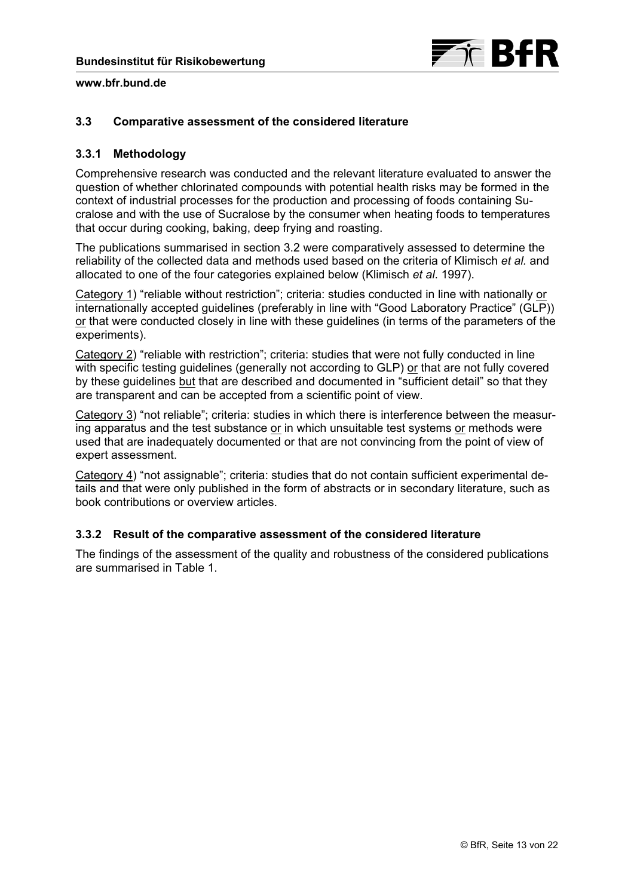

## <span id="page-12-0"></span>**3.3 Comparative assessment of the considered literature**

## **3.3.1 Methodology**

Comprehensive research was conducted and the relevant literature evaluated to answer the question of whether chlorinated compounds with potential health risks may be formed in the context of industrial processes for the production and processing of foods containing Sucralose and with the use of Sucralose by the consumer when heating foods to temperatures that occur during cooking, baking, deep frying and roasting.

The publications summarised in [section 3.2](#page-6-0) were comparatively assessed to determine the reliability of the collected data and methods used based on the criteria of Klimisch *et al.* and allocated to one of the four categories explained below (Klimisch *et al*. 1997).

Category 1) "reliable without restriction"; criteria: studies conducted in line with nationally or internationally accepted guidelines (preferably in line with "Good Laboratory Practice" (GLP)) or that were conducted closely in line with these guidelines (in terms of the parameters of the experiments).

Category 2) "reliable with restriction"; criteria: studies that were not fully conducted in line with specific testing guidelines (generally not according to GLP) or that are not fully covered by these guidelines but that are described and documented in "sufficient detail" so that they are transparent and can be accepted from a scientific point of view.

Category 3) "not reliable"; criteria: studies in which there is interference between the measuring apparatus and the test substance or in which unsuitable test systems or methods were used that are inadequately documented or that are not convincing from the point of view of expert assessment.

Category 4) "not assignable"; criteria: studies that do not contain sufficient experimental details and that were only published in the form of abstracts or in secondary literature, such as book contributions or overview articles.

# **3.3.2 Result of the comparative assessment of the considered literature**

The findings of the assessment of the quality and robustness of the considered publications are summarised in [Table 1](#page-13-0).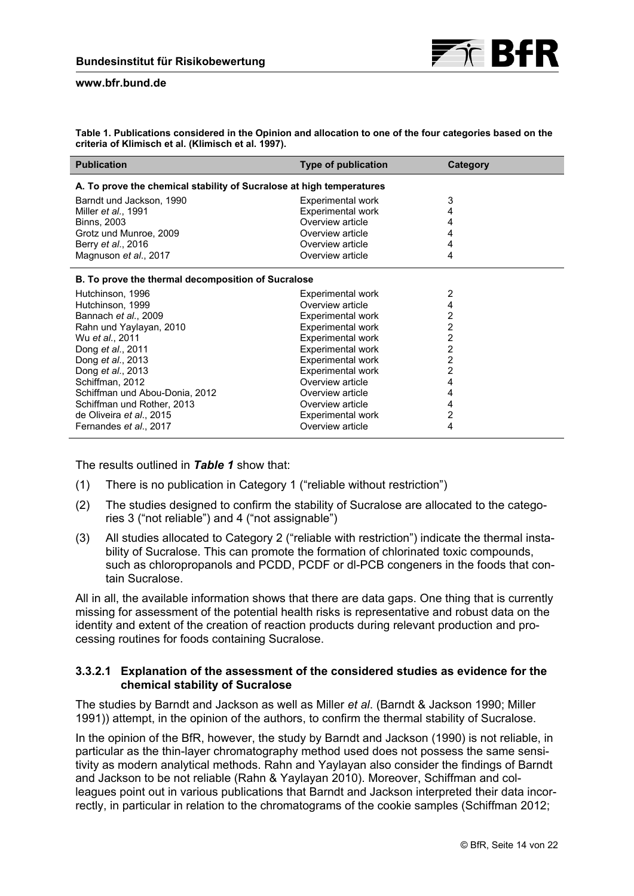<span id="page-13-0"></span>**Table 1. Publications considered in the Opinion and allocation to one of the four categories based on the criteria of Klimisch et al. (Klimisch et al. 1997).** 

| <b>Publication</b>                                                   | <b>Type of publication</b> | Category       |  |  |  |
|----------------------------------------------------------------------|----------------------------|----------------|--|--|--|
| A. To prove the chemical stability of Sucralose at high temperatures |                            |                |  |  |  |
| Barndt und Jackson, 1990                                             | Experimental work          | 3              |  |  |  |
| Miller <i>et al.</i> , 1991                                          | <b>Experimental work</b>   | 4              |  |  |  |
| <b>Binns, 2003</b>                                                   | Overview article           | 4              |  |  |  |
| Grotz und Munroe, 2009                                               | Overview article           | 4              |  |  |  |
| Berry et al., 2016                                                   | Overview article           | 4              |  |  |  |
| Magnuson et al., 2017                                                | Overview article           | 4              |  |  |  |
| <b>B.</b> To prove the thermal decomposition of Sucralose            |                            |                |  |  |  |
| Hutchinson, 1996                                                     | Experimental work          | 2              |  |  |  |
| Hutchinson, 1999                                                     | Overview article           | 4              |  |  |  |
| Bannach et al., 2009                                                 | <b>Experimental work</b>   | 2              |  |  |  |
| Rahn und Yaylayan, 2010                                              | <b>Experimental work</b>   | $\overline{c}$ |  |  |  |
| Wu et al., 2011                                                      | <b>Experimental work</b>   | $\overline{2}$ |  |  |  |
| Dong et al., 2011                                                    | <b>Experimental work</b>   | 2              |  |  |  |
| Dong et al., 2013                                                    | <b>Experimental work</b>   | 2              |  |  |  |
| Dong et al., 2013                                                    | <b>Experimental work</b>   | 2              |  |  |  |
| Schiffman, 2012                                                      | Overview article           | 4              |  |  |  |
| Schiffman und Abou-Donia, 2012                                       | Overview article           | 4              |  |  |  |
| Schiffman und Rother, 2013                                           | Overview article           | 4              |  |  |  |
| de Oliveira et al., 2015                                             | Experimental work          | 2              |  |  |  |
| Fernandes et al., 2017                                               | Overview article           | 4              |  |  |  |

The results outlined in *Table 1* show that:

- (1) There is no publication in Category 1 ("reliable without restriction")
- (2) The studies designed to confirm the stability of Sucralose are allocated to the categories 3 ("not reliable") and 4 ("not assignable")
- (3) All studies allocated to Category 2 ("reliable with restriction") indicate the thermal instability of Sucralose. This can promote the formation of chlorinated toxic compounds, such as chloropropanols and PCDD, PCDF or dl-PCB congeners in the foods that contain Sucralose.

All in all, the available information shows that there are data gaps. One thing that is currently missing for assessment of the potential health risks is representative and robust data on the identity and extent of the creation of reaction products during relevant production and processing routines for foods containing Sucralose.

## **3.3.2.1 Explanation of the assessment of the considered studies as evidence for the chemical stability of Sucralose**

The studies by Barndt and Jackson as well as Miller *et al*. (Barndt & Jackson 1990; Miller 1991)) attempt, in the opinion of the authors, to confirm the thermal stability of Sucralose.

In the opinion of the BfR, however, the study by Barndt and Jackson (1990) is not reliable, in particular as the thin-layer chromatography method used does not possess the same sensitivity as modern analytical methods. Rahn and Yaylayan also consider the findings of Barndt and Jackson to be not reliable (Rahn & Yaylayan 2010). Moreover, Schiffman and colleagues point out in various publications that Barndt and Jackson interpreted their data incorrectly, in particular in relation to the chromatograms of the cookie samples (Schiffman 2012;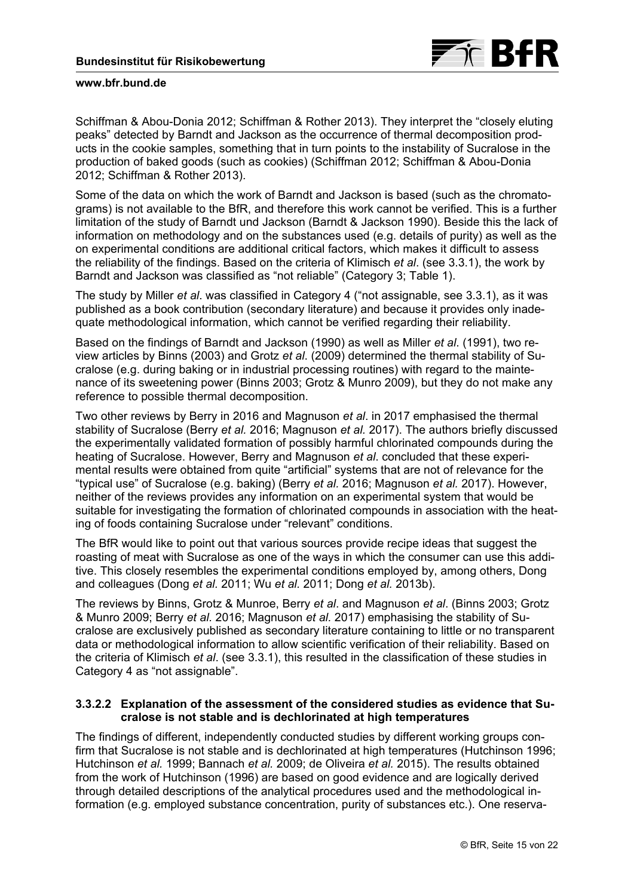

Schiffman & Abou-Donia 2012; Schiffman & Rother 2013). They interpret the "closely eluting peaks" detected by Barndt and Jackson as the occurrence of thermal decomposition products in the cookie samples, something that in turn points to the instability of Sucralose in the production of baked goods (such as cookies) (Schiffman 2012; Schiffman & Abou-Donia 2012; Schiffman & Rother 2013).

Some of the data on which the work of Barndt and Jackson is based (such as the chromatograms) is not available to the BfR, and therefore this work cannot be verified. This is a further limitation of the study of Barndt und Jackson (Barndt & Jackson 1990). Beside this the lack of information on methodology and on the substances used (e.g. details of purity) as well as the on experimental conditions are additional critical factors, which makes it difficult to assess the reliability of the findings. Based on the criteria of Klimisch *et al*. ([see 3.3.1\)](#page-12-0), the work by Barndt and Jackson was classified as "not reliable" ([Category 3; Table 1](#page-12-0)).

The study by Miller *et al*. was classified in Category 4 [\("not assignable, see 3.3.1](#page-12-0)), as it was published as a book contribution (secondary literature) and because it provides only inadequate methodological information, which cannot be verified regarding their reliability.

Based on the findings of Barndt and Jackson (1990) as well as Miller *et al*. (1991), two review articles by Binns (2003) and Grotz *et al*. (2009) determined the thermal stability of Sucralose (e.g. during baking or in industrial processing routines) with regard to the maintenance of its sweetening power (Binns 2003; Grotz & Munro 2009), but they do not make any reference to possible thermal decomposition.

Two other reviews by Berry in 2016 and Magnuson *et al*. in 2017 emphasised the thermal stability of Sucralose (Berry *et al.* 2016; Magnuson *et al.* 2017). The authors briefly discussed the experimentally validated formation of possibly harmful chlorinated compounds during the heating of Sucralose. However, Berry and Magnuson *et al*. concluded that these experimental results were obtained from quite "artificial" systems that are not of relevance for the "typical use" of Sucralose (e.g. baking) (Berry *et al.* 2016; Magnuson *et al.* 2017). However, neither of the reviews provides any information on an experimental system that would be suitable for investigating the formation of chlorinated compounds in association with the heating of foods containing Sucralose under "relevant" conditions.

The BfR would like to point out that various sources provide recipe ideas that suggest the roasting of meat with Sucralose as one of the ways in which the consumer can use this additive. This closely resembles the experimental conditions employed by, among others, Dong and colleagues (Dong *et al.* 2011; Wu *et al.* 2011; Dong *et al.* 2013b).

The reviews by Binns, Grotz & Munroe, Berry *et al*. and Magnuson *et al*. (Binns 2003; Grotz & Munro 2009; Berry *et al.* 2016; Magnuson *et al.* 2017) emphasising the stability of Sucralose are exclusively published as secondary literature containing to little or no transparent data or methodological information to allow scientific verification of their reliability. Based on the criteria of Klimisch *et al*. [\(see 3.3.1](#page-12-0)), this resulted in the classification of these studies in [Category 4 as "not assignable".](#page-12-0)

## **3.3.2.2 Explanation of the assessment of the considered studies as evidence that Sucralose is not stable and is dechlorinated at high temperatures**

The findings of different, independently conducted studies by different working groups confirm that Sucralose is not stable and is dechlorinated at high temperatures (Hutchinson 1996; Hutchinson *et al.* 1999; Bannach *et al.* 2009; de Oliveira *et al.* 2015). The results obtained from the work of Hutchinson (1996) are based on good evidence and are logically derived through detailed descriptions of the analytical procedures used and the methodological information (e.g. employed substance concentration, purity of substances etc.). One reserva-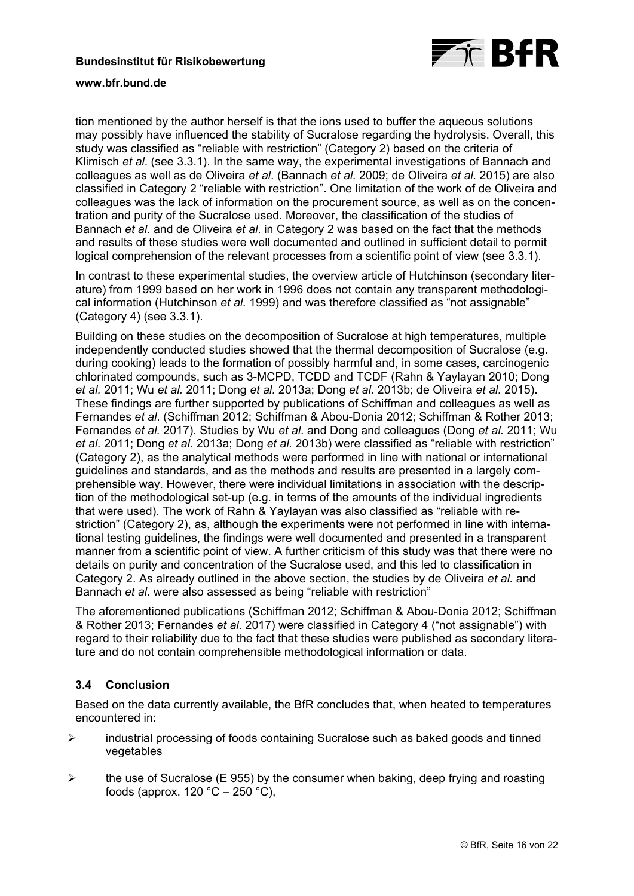

tion mentioned by the author herself is that the ions used to buffer the aqueous solutions may possibly have influenced the stability of Sucralose regarding the hydrolysis. Overall, this study was classified as "reliable with restriction" (Category 2) based on the criteria of Klimisch *et al*. ([see 3.3.1\)](#page-12-0). In the same way, the experimental investigations of Bannach and colleagues as well as de Oliveira *et al*. (Bannach *et al.* 2009; de Oliveira *et al.* 2015) are also classified in Category 2 "reliable with restriction". One limitation of the work of de Oliveira and colleagues was the lack of information on the procurement source, as well as on the concentration and purity of the Sucralose used. Moreover, the classification of the studies of Bannach *et al*. and de Oliveira *et al*. in Category 2 was based on the fact that the methods and results of these studies were well documented and outlined in sufficient detail to permit logical comprehension of the relevant processes from a scientific point of view ([see 3.3.1\)](#page-12-0).

In contrast to these experimental studies, the overview article of Hutchinson (secondary literature) from 1999 based on her work in 1996 does not contain any transparent methodological information (Hutchinson *et al.* 1999) and was therefore classified as "not assignable" (Category 4) ([see 3.3.1](#page-12-0)).

Building on these studies on the decomposition of Sucralose at high temperatures, multiple independently conducted studies showed that the thermal decomposition of Sucralose (e.g. during cooking) leads to the formation of possibly harmful and, in some cases, carcinogenic chlorinated compounds, such as 3-MCPD, TCDD and TCDF (Rahn & Yaylayan 2010; Dong *et al.* 2011; Wu *et al.* 2011; Dong *et al.* 2013a; Dong *et al.* 2013b; de Oliveira *et al.* 2015). These findings are further supported by publications of Schiffman and colleagues as well as Fernandes *et al*. (Schiffman 2012; Schiffman & Abou-Donia 2012; Schiffman & Rother 2013; Fernandes *et al.* 2017). Studies by Wu *et al*. and Dong and colleagues (Dong *et al.* 2011; Wu *et al.* 2011; Dong *et al.* 2013a; Dong *et al.* 2013b) were classified as "reliable with restriction" (Category 2), as the analytical methods were performed in line with national or international guidelines and standards, and as the methods and results are presented in a largely comprehensible way. However, there were individual limitations in association with the description of the methodological set-up (e.g. in terms of the amounts of the individual ingredients that were used). The work of Rahn & Yaylayan was also classified as "reliable with restriction" (Category 2), as, although the experiments were not performed in line with international testing guidelines, the findings were well documented and presented in a transparent manner from a scientific point of view. A further criticism of this study was that there were no details on purity and concentration of the Sucralose used, and this led to classification in Category 2. As already outlined in the above section, the studies by de Oliveira *et al.* and Bannach *et al*. were also assessed as being "reliable with restriction"

The aforementioned publications (Schiffman 2012; Schiffman & Abou-Donia 2012; Schiffman & Rother 2013; Fernandes *et al.* 2017) were classified in Category 4 ("not assignable") with regard to their reliability due to the fact that these studies were published as secondary literature and do not contain comprehensible methodological information or data.

# **3.4 Conclusion**

Based on the data currently available, the BfR concludes that, when heated to temperatures encountered in:

- $\triangleright$  industrial processing of foods containing Sucralose such as baked goods and tinned vegetables
- $\triangleright$  the use of Sucralose (E 955) by the consumer when baking, deep frying and roasting foods (approx.  $120 °C - 250 °C$ ).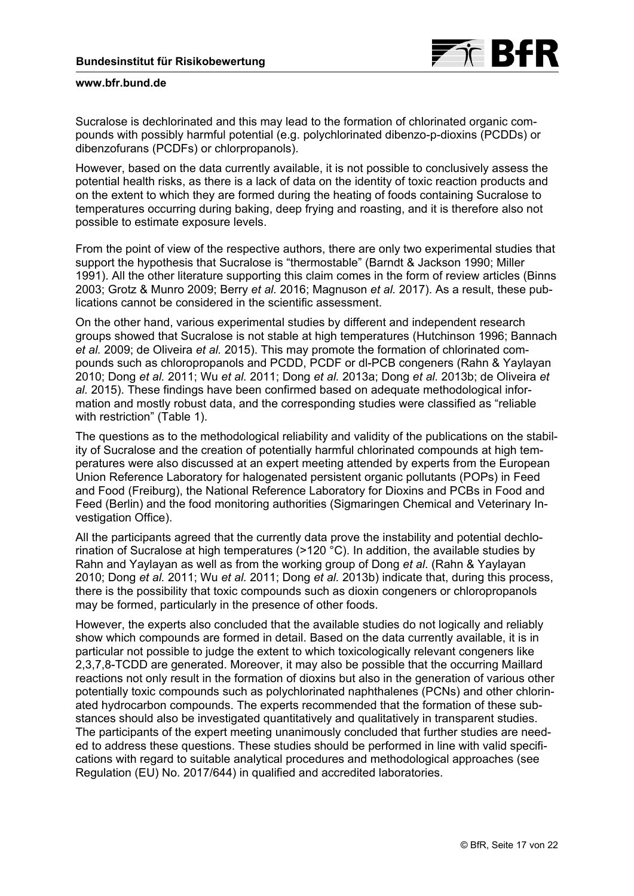

Sucralose is dechlorinated and this may lead to the formation of chlorinated organic compounds with possibly harmful potential (e.g. polychlorinated dibenzo-p-dioxins (PCDDs) or dibenzofurans (PCDFs) or chlorpropanols).

However, based on the data currently available, it is not possible to conclusively assess the potential health risks, as there is a lack of data on the identity of toxic reaction products and on the extent to which they are formed during the heating of foods containing Sucralose to temperatures occurring during baking, deep frying and roasting, and it is therefore also not possible to estimate exposure levels.

From the point of view of the respective authors, there are only two experimental studies that support the hypothesis that Sucralose is "thermostable" (Barndt & Jackson 1990; Miller 1991). All the other literature supporting this claim comes in the form of review articles (Binns 2003; Grotz & Munro 2009; Berry *et al.* 2016; Magnuson *et al.* 2017). As a result, these publications cannot be considered in the scientific assessment.

On the other hand, various experimental studies by different and independent research groups showed that Sucralose is not stable at high temperatures (Hutchinson 1996; Bannach *et al.* 2009; de Oliveira *et al.* 2015). This may promote the formation of chlorinated compounds such as chloropropanols and PCDD, PCDF or dl-PCB congeners (Rahn & Yaylayan 2010; Dong *et al.* 2011; Wu *et al.* 2011; Dong *et al.* 2013a; Dong *et al.* 2013b; de Oliveira *et al.* 2015). These findings have been confirmed based on adequate methodological information and mostly robust data, and the corresponding studies were classified as "reliable with restriction" ([Table 1](#page-13-0)).

The questions as to the methodological reliability and validity of the publications on the stability of Sucralose and the creation of potentially harmful chlorinated compounds at high temperatures were also discussed at an expert meeting attended by experts from the European Union Reference Laboratory for halogenated persistent organic pollutants (POPs) in Feed and Food (Freiburg), the National Reference Laboratory for Dioxins and PCBs in Food and Feed (Berlin) and the food monitoring authorities (Sigmaringen Chemical and Veterinary Investigation Office).

All the participants agreed that the currently data prove the instability and potential dechlorination of Sucralose at high temperatures (>120 °C). In addition, the available studies by Rahn and Yaylayan as well as from the working group of Dong *et al*. (Rahn & Yaylayan 2010; Dong *et al.* 2011; Wu *et al.* 2011; Dong *et al.* 2013b) indicate that, during this process, there is the possibility that toxic compounds such as dioxin congeners or chloropropanols may be formed, particularly in the presence of other foods.

However, the experts also concluded that the available studies do not logically and reliably show which compounds are formed in detail. Based on the data currently available, it is in particular not possible to judge the extent to which toxicologically relevant congeners like 2,3,7,8-TCDD are generated. Moreover, it may also be possible that the occurring Maillard reactions not only result in the formation of dioxins but also in the generation of various other potentially toxic compounds such as polychlorinated naphthalenes (PCNs) and other chlorinated hydrocarbon compounds. The experts recommended that the formation of these substances should also be investigated quantitatively and qualitatively in transparent studies. The participants of the expert meeting unanimously concluded that further studies are needed to address these questions. These studies should be performed in line with valid specifications with regard to suitable analytical procedures and methodological approaches (see Regulation (EU) No. 2017/644) in qualified and accredited laboratories.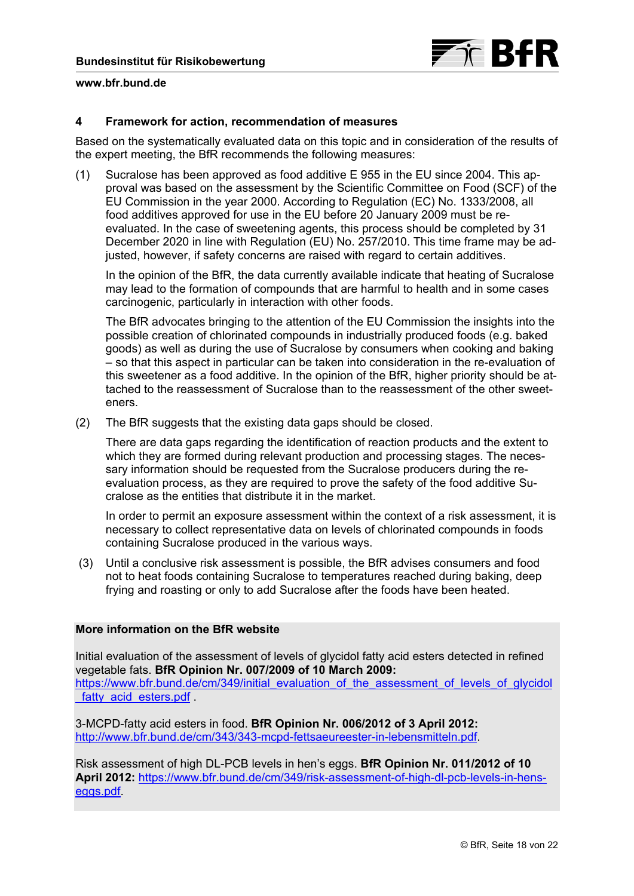

## **4 Framework for action, recommendation of measures**

Based on the systematically evaluated data on this topic and in consideration of the results of the expert meeting, the BfR recommends the following measures:

(1) Sucralose has been approved as food additive E 955 in the EU since 2004. This approval was based on the assessment by the Scientific Committee on Food (SCF) of the EU Commission in the year 2000. According to Regulation (EC) No. 1333/2008, all food additives approved for use in the EU before 20 January 2009 must be reevaluated. In the case of sweetening agents, this process should be completed by 31 December 2020 in line with Regulation (EU) No. 257/2010. This time frame may be adjusted, however, if safety concerns are raised with regard to certain additives.

In the opinion of the BfR, the data currently available indicate that heating of Sucralose may lead to the formation of compounds that are harmful to health and in some cases carcinogenic, particularly in interaction with other foods.

The BfR advocates bringing to the attention of the EU Commission the insights into the possible creation of chlorinated compounds in industrially produced foods (e.g. baked goods) as well as during the use of Sucralose by consumers when cooking and baking – so that this aspect in particular can be taken into consideration in the re-evaluation of this sweetener as a food additive. In the opinion of the BfR, higher priority should be attached to the reassessment of Sucralose than to the reassessment of the other sweeteners.

(2) The BfR suggests that the existing data gaps should be closed.

There are data gaps regarding the identification of reaction products and the extent to which they are formed during relevant production and processing stages. The necessary information should be requested from the Sucralose producers during the reevaluation process, as they are required to prove the safety of the food additive Sucralose as the entities that distribute it in the market.

In order to permit an exposure assessment within the context of a risk assessment, it is necessary to collect representative data on levels of chlorinated compounds in foods containing Sucralose produced in the various ways.

 (3) Until a conclusive risk assessment is possible, the BfR advises consumers and food not to heat foods containing Sucralose to temperatures reached during baking, deep frying and roasting or only to add Sucralose after the foods have been heated.

## **More information on the BfR website**

Initial evaluation of the assessment of levels of glycidol fatty acid esters detected in refined vegetable fats. **BfR Opinion Nr. 007/2009 of 10 March 2009:** [https://www.bfr.bund.de/cm/349/initial\\_evaluation\\_of\\_the\\_assessment\\_of\\_levels\\_of\\_glycidol](https://www.bfr.bund.de/cm/349/initial_evaluation_of_the_assessment_of_levels_of_glycidol_fatty_acid_esters.pdf) fatty acid esters.pdf

3-MCPD-fatty acid esters in food. **BfR Opinion Nr. 006/2012 of 3 April 2012:** <http://www.bfr.bund.de/cm/343/343-mcpd-fettsaeureester-in-lebensmitteln.pdf>.

Risk assessment of high DL-PCB levels in hen's eggs. **BfR Opinion Nr. 011/2012 of 10 April 2012:** [https://www.bfr.bund.de/cm/349/risk-assessment-of-high-dl-pcb-levels-in-hens](https://www.bfr.bund.de/cm/349/risk-assessment-of-high-dl-pcb-levels-in-hens-eggs.pdf)eggs.pdf.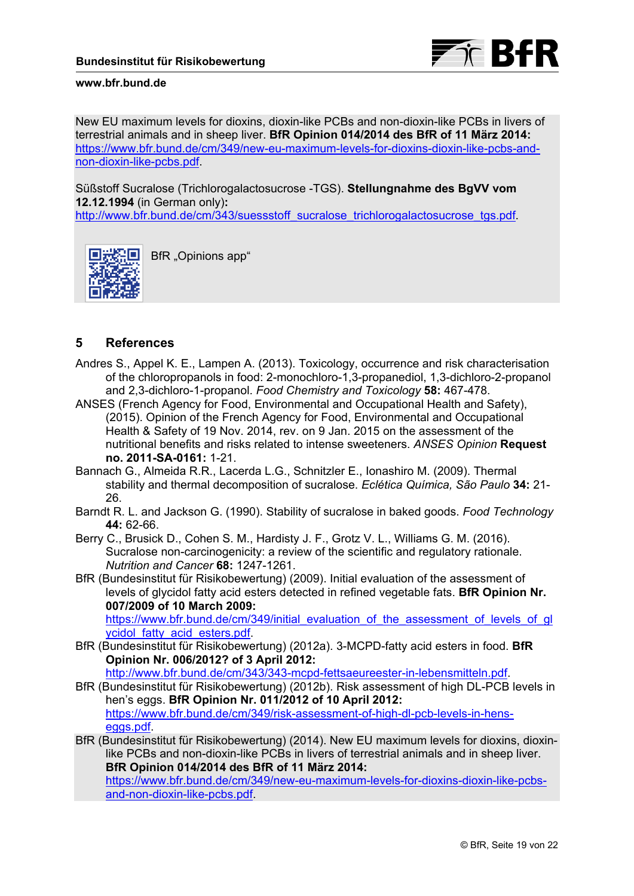

New EU maximum levels for dioxins, dioxin-like PCBs and non-dioxin-like PCBs in livers of terrestrial animals and in sheep liver. **BfR Opinion 014/2014 des BfR of 11 März 2014:** [https://www.bfr.bund.de/cm/349/new-eu-maximum-levels-for-dioxins-dioxin-like-pcbs-and](https://www.bfr.bund.de/cm/349/new-eu-maximum-levels-for-dioxins-dioxin-like-pcbs-and-non-dioxin-like-pcbs.pdf)non-dioxin-like-pcbs.pdf.

Süßstoff Sucralose (Trichlorogalactosucrose -TGS). **Stellungnahme des BgVV vom 12.12.1994** (in German only)**:**

[http://www.bfr.bund.de/cm/343/suessstoff\\_sucralose\\_trichlorogalactosucrose\\_tgs.pdf.](http://www.bfr.bund.de/cm/343/suessstoff_sucralose_trichlorogalactosucrose_tgs.pdf)



BfR "Opinions app"

# **5 References**

- Andres S., Appel K. E., Lampen A. (2013). Toxicology, occurrence and risk characterisation of the chloropropanols in food: 2-monochloro-1,3-propanediol, 1,3-dichloro-2-propanol and 2,3-dichloro-1-propanol. *Food Chemistry and Toxicology* **58:** 467-478.
- ANSES (French Agency for Food, Environmental and Occupational Health and Safety), (2015). Opinion of the French Agency for Food, Environmental and Occupational Health & Safety of 19 Nov. 2014, rev. on 9 Jan. 2015 on the assessment of the nutritional benefits and risks related to intense sweeteners. *ANSES Opinion* **Request no. 2011-SA-0161:** 1-21.
- Bannach G., Almeida R.R., Lacerda L.G., Schnitzler E., Ionashiro M. (2009). Thermal stability and thermal decomposition of sucralose. *Eclética Química, São Paulo* **34:** 21- 26.
- Barndt R. L. and Jackson G. (1990). Stability of sucralose in baked goods. *Food Technology* **44:** 62-66.
- Berry C., Brusick D., Cohen S. M., Hardisty J. F., Grotz V. L., Williams G. M. (2016). Sucralose non-carcinogenicity: a review of the scientific and regulatory rationale. *Nutrition and Cancer* **68:** 1247-1261.
- BfR (Bundesinstitut für Risikobewertung) (2009). Initial evaluation of the assessment of levels of glycidol fatty acid esters detected in refined vegetable fats. **BfR Opinion Nr. 007/2009 of 10 March 2009:**

[https://www.bfr.bund.de/cm/349/initial\\_evaluation\\_of\\_the\\_assessment\\_of\\_levels\\_of\\_gl](https://www.bfr.bund.de/cm/349/initial_evaluation_of_the_assessment_of_levels_of_glycidol_fatty_acid_esters.pdf) ycidol\_fatty\_acid\_esters.pdf.

BfR (Bundesinstitut für Risikobewertung) (2012a). 3-MCPD-fatty acid esters in food. **BfR Opinion Nr. 006/2012? of 3 April 2012:**

[http://www.bfr.bund.de/cm/343/343-mcpd-fettsaeureester-in-lebensmitteln.pdf.](http://www.bfr.bund.de/cm/343/343-mcpd-fettsaeureester-in-lebensmitteln.pdf)

- BfR (Bundesinstitut für Risikobewertung) (2012b). Risk assessment of high DL-PCB levels in hen's eggs. **BfR Opinion Nr. 011/2012 of 10 April 2012:** [https://www.bfr.bund.de/cm/349/risk-assessment-of-high-dl-pcb-levels-in-hens](https://www.bfr.bund.de/cm/349/risk-assessment-of-high-dl-pcb-levels-in-hens-eggs.pdf)eggs.pdf.
- BfR (Bundesinstitut für Risikobewertung) (2014). New EU maximum levels for dioxins, dioxinlike PCBs and non-dioxin-like PCBs in livers of terrestrial animals and in sheep liver. **BfR Opinion 014/2014 des BfR of 11 März 2014:** [https://www.bfr.bund.de/cm/349/new-eu-maximum-levels-for-dioxins-dioxin-like-pcbs](https://www.bfr.bund.de/cm/349/new-eu-maximum-levels-for-dioxins-dioxin-like-pcbs-and-non-dioxin-like-pcbs.pdf)and-non-dioxin-like-pcbs.pdf.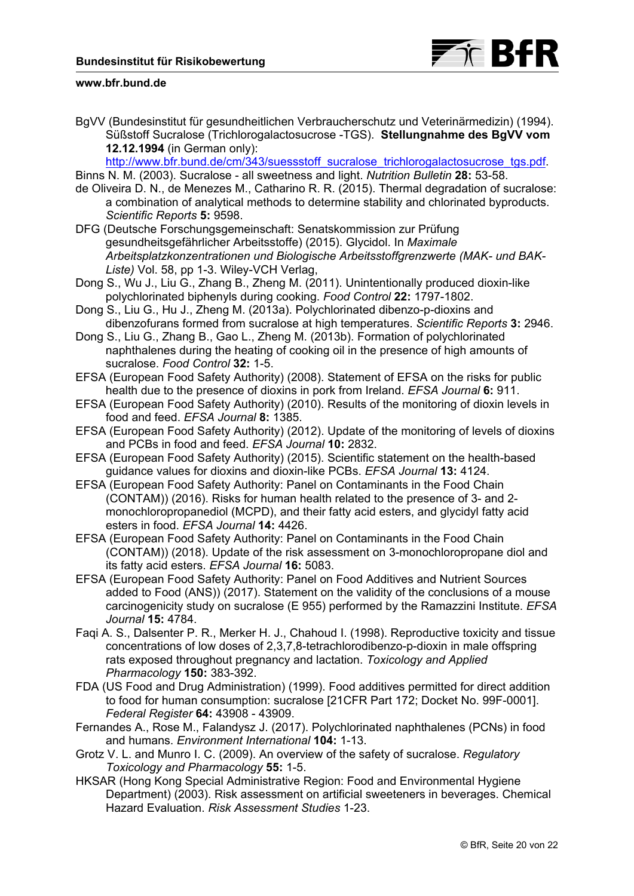

BgVV (Bundesinstitut für gesundheitlichen Verbraucherschutz und Veterinärmedizin) (1994). Süßstoff Sucralose (Trichlorogalactosucrose -TGS). **Stellungnahme des BgVV vom 12.12.1994** (in German only):

http://www.bfr.bund.de/cm/343/suessstoff\_sucralose\_trichlorogalactosucrose\_tgs.pdf

- Binns N. M. (2003). Sucralose all sweetness and light. *Nutrition Bulletin* **28:** 53-58.
- de Oliveira D. N., de Menezes M., Catharino R. R. (2015). Thermal degradation of sucralose: a combination of analytical methods to determine stability and chlorinated byproducts. *Scientific Reports* **5:** 9598.
- DFG (Deutsche Forschungsgemeinschaft: Senatskommission zur Prüfung gesundheitsgefährlicher Arbeitsstoffe) (2015). Glycidol. In *Maximale Arbeitsplatzkonzentrationen und Biologische Arbeitsstoffgrenzwerte (MAK- und BAK-Liste)* Vol. 58, pp 1-3. Wiley-VCH Verlag,
- Dong S., Wu J., Liu G., Zhang B., Zheng M. (2011). Unintentionally produced dioxin-like polychlorinated biphenyls during cooking. *Food Control* **22:** 1797-1802.
- Dong S., Liu G., Hu J., Zheng M. (2013a). Polychlorinated dibenzo-p-dioxins and dibenzofurans formed from sucralose at high temperatures. *Scientific Reports* **3:** 2946.
- Dong S., Liu G., Zhang B., Gao L., Zheng M. (2013b). Formation of polychlorinated naphthalenes during the heating of cooking oil in the presence of high amounts of sucralose. *Food Control* **32:** 1-5.
- EFSA (European Food Safety Authority) (2008). Statement of EFSA on the risks for public health due to the presence of dioxins in pork from Ireland. *EFSA Journal* **6:** 911.
- EFSA (European Food Safety Authority) (2010). Results of the monitoring of dioxin levels in food and feed. *EFSA Journal* **8:** 1385.
- EFSA (European Food Safety Authority) (2012). Update of the monitoring of levels of dioxins and PCBs in food and feed. *EFSA Journal* **10:** 2832.
- EFSA (European Food Safety Authority) (2015). Scientific statement on the health-based guidance values for dioxins and dioxin-like PCBs. *EFSA Journal* **13:** 4124.
- EFSA (European Food Safety Authority: Panel on Contaminants in the Food Chain (CONTAM)) (2016). Risks for human health related to the presence of 3- and 2 monochloropropanediol (MCPD), and their fatty acid esters, and glycidyl fatty acid esters in food. *EFSA Journal* **14:** 4426.
- EFSA (European Food Safety Authority: Panel on Contaminants in the Food Chain (CONTAM)) (2018). Update of the risk assessment on 3-monochloropropane diol and its fatty acid esters. *EFSA Journal* **16:** 5083.
- EFSA (European Food Safety Authority: Panel on Food Additives and Nutrient Sources added to Food (ANS)) (2017). Statement on the validity of the conclusions of a mouse carcinogenicity study on sucralose (E 955) performed by the Ramazzini Institute. *EFSA Journal* **15:** 4784.
- Faqi A. S., Dalsenter P. R., Merker H. J., Chahoud I. (1998). Reproductive toxicity and tissue concentrations of low doses of 2,3,7,8-tetrachlorodibenzo-p-dioxin in male offspring rats exposed throughout pregnancy and lactation. *Toxicology and Applied Pharmacology* **150:** 383-392.
- FDA (US Food and Drug Administration) (1999). Food additives permitted for direct addition to food for human consumption: sucralose [21CFR Part 172; Docket No. 99F-0001]. *Federal Register* **64:** 43908 - 43909.
- Fernandes A., Rose M., Falandysz J. (2017). Polychlorinated naphthalenes (PCNs) in food and humans. *Environment International* **104:** 1-13.
- Grotz V. L. and Munro I. C. (2009). An overview of the safety of sucralose. *Regulatory Toxicology and Pharmacology* **55:** 1-5.
- HKSAR (Hong Kong Special Administrative Region: Food and Environmental Hygiene Department) (2003). Risk assessment on artificial sweeteners in beverages. Chemical Hazard Evaluation. *Risk Assessment Studies* 1-23.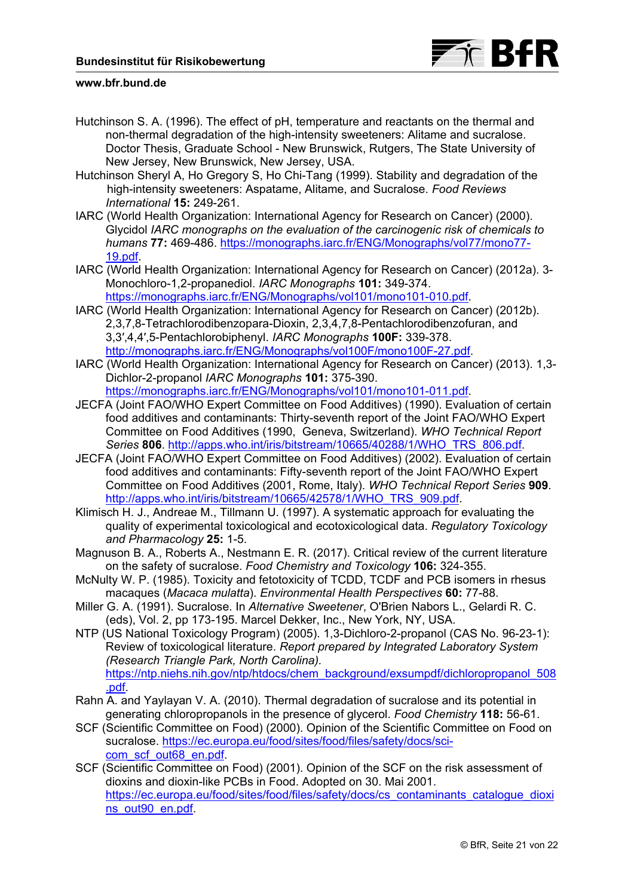

- Hutchinson S. A. (1996). The effect of pH, temperature and reactants on the thermal and non-thermal degradation of the high-intensity sweeteners: Alitame and sucralose. Doctor Thesis, Graduate School - New Brunswick, Rutgers, The State University of New Jersey, New Brunswick, New Jersey, USA.
- Hutchinson Sheryl A, Ho Gregory S, Ho Chi-Tang (1999). Stability and degradation of the high-intensity sweeteners: Aspatame, Alitame, and Sucralose. *Food Reviews International* **15:** 249-261.
- IARC (World Health Organization: International Agency for Research on Cancer) (2000). Glycidol *IARC monographs on the evaluation of the carcinogenic risk of chemicals to humans* **77:** [469-486. https://monographs.iarc.fr/ENG/Monographs/vol77/mono77-](https://monographs.iarc.fr/ENG/Monographs/vol77/mono77-19.pdf) 19.pdf.
- IARC (World Health Organization: International Agency for Research on Cancer) (2012a). 3- Monochloro-1,2-propanediol. *IARC Monographs* **101:** 349-374. [https://monographs.iarc.fr/ENG/Monographs/vol101/mono101-010.pdf.](https://monographs.iarc.fr/ENG/Monographs/vol101/mono101-010.pdf)
- IARC (World Health Organization: International Agency for Research on Cancer) (2012b). 2,3,7,8-Tetrachlorodibenzopara-Dioxin, 2,3,4,7,8-Pentachlorodibenzofuran, and 3,3′,4,4′,5-Pentachlorobiphenyl. *IARC Monographs* **100F:** 339-378. [http://monographs.iarc.fr/ENG/Monographs/vol100F/mono100F-27.pdf.](http://monographs.iarc.fr/ENG/Monographs/vol100F/mono100F-27.pdf)
- IARC (World Health Organization: International Agency for Research on Cancer) (2013). 1,3- Dichlor-2-propanol *IARC Monographs* **101:** 375-390. [https://monographs.iarc.fr/ENG/Monographs/vol101/mono101-011.pdf.](https://monographs.iarc.fr/ENG/Monographs/vol101/mono101-011.pdf)
- JECFA (Joint FAO/WHO Expert Committee on Food Additives) (1990). Evaluation of certain food additives and contaminants: Thirty-seventh report of the Joint FAO/WHO Expert Committee on Food Additives (1990, Geneva, Switzerland). *WHO Technical Report Series* **806**. [http://apps.who.int/iris/bitstream/10665/40288/1/WHO\\_TRS\\_806.pdf](http://apps.who.int/iris/bitstream/10665/40288/1/WHO_TRS_806.pdf).
- JECFA (Joint FAO/WHO Expert Committee on Food Additives) (2002). Evaluation of certain food additives and contaminants: Fifty-seventh report of the Joint FAO/WHO Expert Committee on Food Additives (2001, Rome, Italy). *WHO Technical Report Series* **909**. [http://apps.who.int/iris/bitstream/10665/42578/1/WHO\\_TRS\\_909.pdf](http://apps.who.int/iris/bitstream/10665/42578/1/WHO_TRS_909.pdf).
- Klimisch H. J., Andreae M., Tillmann U. (1997). A systematic approach for evaluating the quality of experimental toxicological and ecotoxicological data. *Regulatory Toxicology and Pharmacology* **25:** 1-5.
- Magnuson B. A., Roberts A., Nestmann E. R. (2017). Critical review of the current literature on the safety of sucralose. *Food Chemistry and Toxicology* **106:** 324-355.
- McNulty W. P. (1985). Toxicity and fetotoxicity of TCDD, TCDF and PCB isomers in rhesus macaques (*Macaca mulatta*). *Environmental Health Perspectives* **60:** 77-88.
- Miller G. A. (1991). Sucralose. In *Alternative Sweetener*, O'Brien Nabors L., Gelardi R. C. (eds), Vol. 2, pp 173-195. Marcel Dekker, Inc., New York, NY, USA.
- NTP (US National Toxicology Program) (2005). 1,3-Dichloro-2-propanol (CAS No. 96-23-1): Review of toxicological literature. *Report prepared by Integrated Laboratory System (Research Triangle Park, North Carolina).* [https://ntp.niehs.nih.gov/ntp/htdocs/chem\\_background/exsumpdf/dichloropropanol\\_508](https://ntp.niehs.nih.gov/ntp/htdocs/chem_background/exsumpdf/dichloropropanol_508.pdf) .pdf.
- Rahn A. and Yaylayan V. A. (2010). Thermal degradation of sucralose and its potential in generating chloropropanols in the presence of glycerol. *Food Chemistry* **118:** 56-61.
- SCF (Scientific Committee on Food) (2000). Opinion of the Scientific Committee on Food on [sucralose. https://ec.europa.eu/food/sites/food/files/safety/docs/sci](https://ec.europa.eu/food/sites/food/files/safety/docs/sci-com_scf_out68_en.pdf)com\_scf\_out68\_en.pdf.
- SCF (Scientific Committee on Food) (2001). Opinion of the SCF on the risk assessment of dioxins and dioxin-like PCBs in Food. Adopted on 30. Mai 2001. [https://ec.europa.eu/food/sites/food/files/safety/docs/cs\\_contaminants\\_catalogue\\_dioxi](https://ec.europa.eu/food/sites/food/files/safety/docs/cs_contaminants_catalogue_dioxins_out90_en.pdf) ns\_out90\_en.pdf.